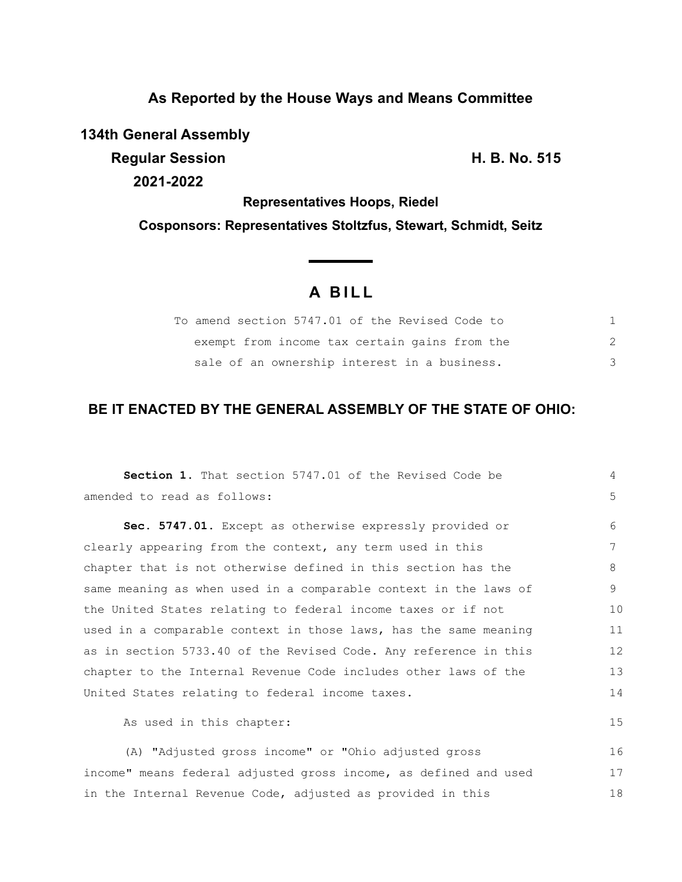## **As Reported by the House Ways and Means Committee**

**134th General Assembly**

**Regular Session H. B. No. 515 2021-2022**

**Representatives Hoops, Riedel**

**Cosponsors: Representatives Stoltzfus, Stewart, Schmidt, Seitz**

# **A B I L L**

<u> The Common State State Sta</u>te

| To amend section 5747.01 of the Revised Code to |  |
|-------------------------------------------------|--|
| exempt from income tax certain gains from the   |  |
| sale of an ownership interest in a business.    |  |

## **BE IT ENACTED BY THE GENERAL ASSEMBLY OF THE STATE OF OHIO:**

| <b>Section 1.</b> That section 5747.01 of the Revised Code be    | 4  |
|------------------------------------------------------------------|----|
| amended to read as follows:                                      | 5  |
| Sec. 5747.01. Except as otherwise expressly provided or          | 6  |
| clearly appearing from the context, any term used in this        | 7  |
| chapter that is not otherwise defined in this section has the    | 8  |
| same meaning as when used in a comparable context in the laws of | 9  |
| the United States relating to federal income taxes or if not     | 10 |
| used in a comparable context in those laws, has the same meaning | 11 |
| as in section 5733.40 of the Revised Code. Any reference in this | 12 |
| chapter to the Internal Revenue Code includes other laws of the  | 13 |
| United States relating to federal income taxes.                  | 14 |
| As used in this chapter:                                         | 15 |
| (A) "Adjusted gross income" or "Ohio adjusted gross              | 16 |
| income" means federal adjusted gross income, as defined and used | 17 |
| in the Internal Revenue Code, adjusted as provided in this       | 18 |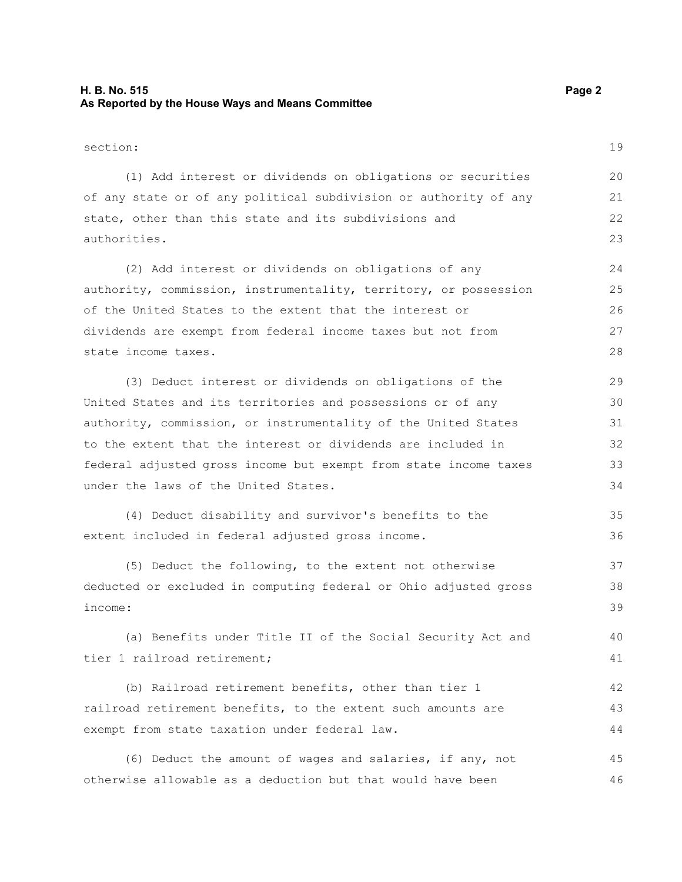#### **H. B. No. 515 Page 2 As Reported by the House Ways and Means Committee**

46

section: (1) Add interest or dividends on obligations or securities of any state or of any political subdivision or authority of any state, other than this state and its subdivisions and authorities. (2) Add interest or dividends on obligations of any authority, commission, instrumentality, territory, or possession of the United States to the extent that the interest or dividends are exempt from federal income taxes but not from state income taxes. (3) Deduct interest or dividends on obligations of the United States and its territories and possessions or of any authority, commission, or instrumentality of the United States to the extent that the interest or dividends are included in federal adjusted gross income but exempt from state income taxes under the laws of the United States. (4) Deduct disability and survivor's benefits to the extent included in federal adjusted gross income. (5) Deduct the following, to the extent not otherwise deducted or excluded in computing federal or Ohio adjusted gross income: (a) Benefits under Title II of the Social Security Act and tier 1 railroad retirement; (b) Railroad retirement benefits, other than tier 1 railroad retirement benefits, to the extent such amounts are exempt from state taxation under federal law. (6) Deduct the amount of wages and salaries, if any, not 19 20 21 22 23 24 25 26 27 28 29 30 31 32 33 34 35 36 37 38 39 40 41 42 43 44 45

otherwise allowable as a deduction but that would have been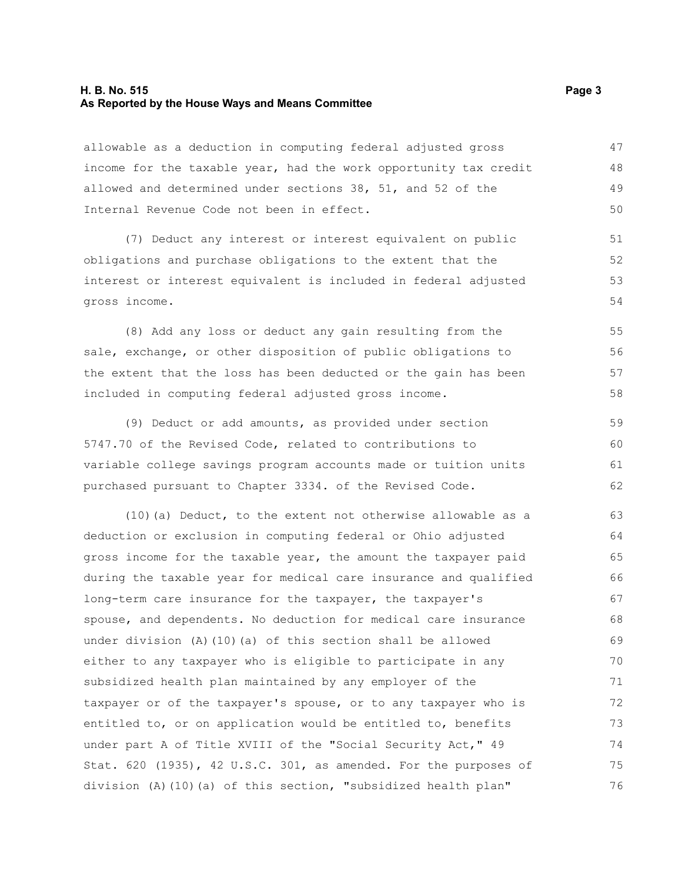#### **H. B. No. 515** Page 3 **As Reported by the House Ways and Means Committee**

allowable as a deduction in computing federal adjusted gross income for the taxable year, had the work opportunity tax credit allowed and determined under sections 38, 51, and 52 of the Internal Revenue Code not been in effect. 47 48 49 50

(7) Deduct any interest or interest equivalent on public obligations and purchase obligations to the extent that the interest or interest equivalent is included in federal adjusted gross income.

(8) Add any loss or deduct any gain resulting from the sale, exchange, or other disposition of public obligations to the extent that the loss has been deducted or the gain has been included in computing federal adjusted gross income.

(9) Deduct or add amounts, as provided under section 5747.70 of the Revised Code, related to contributions to variable college savings program accounts made or tuition units purchased pursuant to Chapter 3334. of the Revised Code. 59 60 61 62

(10)(a) Deduct, to the extent not otherwise allowable as a deduction or exclusion in computing federal or Ohio adjusted gross income for the taxable year, the amount the taxpayer paid during the taxable year for medical care insurance and qualified long-term care insurance for the taxpayer, the taxpayer's spouse, and dependents. No deduction for medical care insurance under division (A)(10)(a) of this section shall be allowed either to any taxpayer who is eligible to participate in any subsidized health plan maintained by any employer of the taxpayer or of the taxpayer's spouse, or to any taxpayer who is entitled to, or on application would be entitled to, benefits under part A of Title XVIII of the "Social Security Act," 49 Stat. 620 (1935), 42 U.S.C. 301, as amended. For the purposes of division (A)(10)(a) of this section, "subsidized health plan" 63 64 65 66 67 68 69 70 71 72 73 74 75 76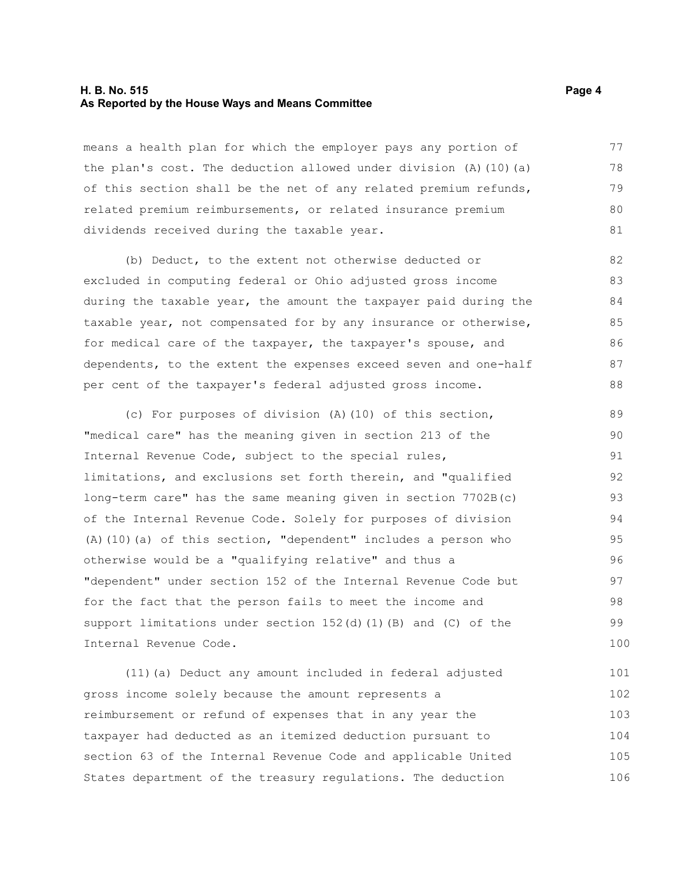#### **H. B. No. 515 Page 4 As Reported by the House Ways and Means Committee**

means a health plan for which the employer pays any portion of the plan's cost. The deduction allowed under division  $(A)$  (10)(a) of this section shall be the net of any related premium refunds, related premium reimbursements, or related insurance premium dividends received during the taxable year. 77 78 79 80 81

(b) Deduct, to the extent not otherwise deducted or excluded in computing federal or Ohio adjusted gross income during the taxable year, the amount the taxpayer paid during the taxable year, not compensated for by any insurance or otherwise, for medical care of the taxpayer, the taxpayer's spouse, and dependents, to the extent the expenses exceed seven and one-half per cent of the taxpayer's federal adjusted gross income. 82 83 84 85 86 87 88

(c) For purposes of division (A)(10) of this section, "medical care" has the meaning given in section 213 of the Internal Revenue Code, subject to the special rules, limitations, and exclusions set forth therein, and "qualified long-term care" has the same meaning given in section 7702B(c) of the Internal Revenue Code. Solely for purposes of division (A)(10)(a) of this section, "dependent" includes a person who otherwise would be a "qualifying relative" and thus a "dependent" under section 152 of the Internal Revenue Code but for the fact that the person fails to meet the income and support limitations under section  $152(d)$  (1)(B) and (C) of the Internal Revenue Code. 89 90 91 92 93 94 95 96 97 98 99 100

(11)(a) Deduct any amount included in federal adjusted gross income solely because the amount represents a reimbursement or refund of expenses that in any year the taxpayer had deducted as an itemized deduction pursuant to section 63 of the Internal Revenue Code and applicable United States department of the treasury regulations. The deduction 101 102 103 104 105 106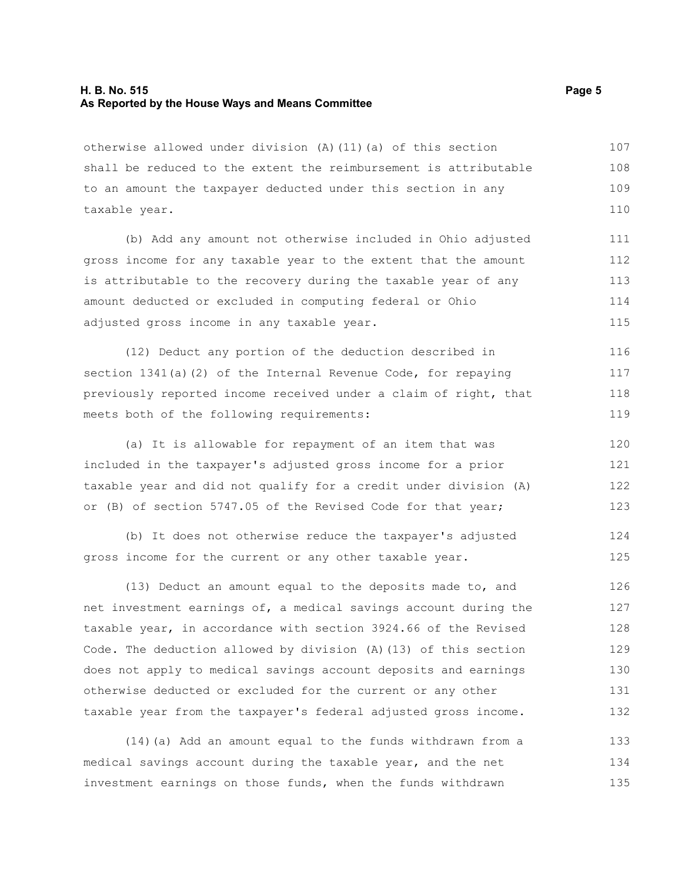#### **H. B. No. 515 Page 5 As Reported by the House Ways and Means Committee**

otherwise allowed under division (A)(11)(a) of this section shall be reduced to the extent the reimbursement is attributable to an amount the taxpayer deducted under this section in any taxable year. 107 108 109 110

(b) Add any amount not otherwise included in Ohio adjusted gross income for any taxable year to the extent that the amount is attributable to the recovery during the taxable year of any amount deducted or excluded in computing federal or Ohio adjusted gross income in any taxable year. 111 112 113 114 115

(12) Deduct any portion of the deduction described in section 1341(a)(2) of the Internal Revenue Code, for repaying previously reported income received under a claim of right, that meets both of the following requirements: 116 117 118 119

(a) It is allowable for repayment of an item that was included in the taxpayer's adjusted gross income for a prior taxable year and did not qualify for a credit under division (A) or (B) of section 5747.05 of the Revised Code for that year; 120 121 122 123

(b) It does not otherwise reduce the taxpayer's adjusted gross income for the current or any other taxable year.

(13) Deduct an amount equal to the deposits made to, and net investment earnings of, a medical savings account during the taxable year, in accordance with section 3924.66 of the Revised Code. The deduction allowed by division (A)(13) of this section does not apply to medical savings account deposits and earnings otherwise deducted or excluded for the current or any other taxable year from the taxpayer's federal adjusted gross income. 126 127 128 129 130 131 132

(14)(a) Add an amount equal to the funds withdrawn from a medical savings account during the taxable year, and the net investment earnings on those funds, when the funds withdrawn 133 134 135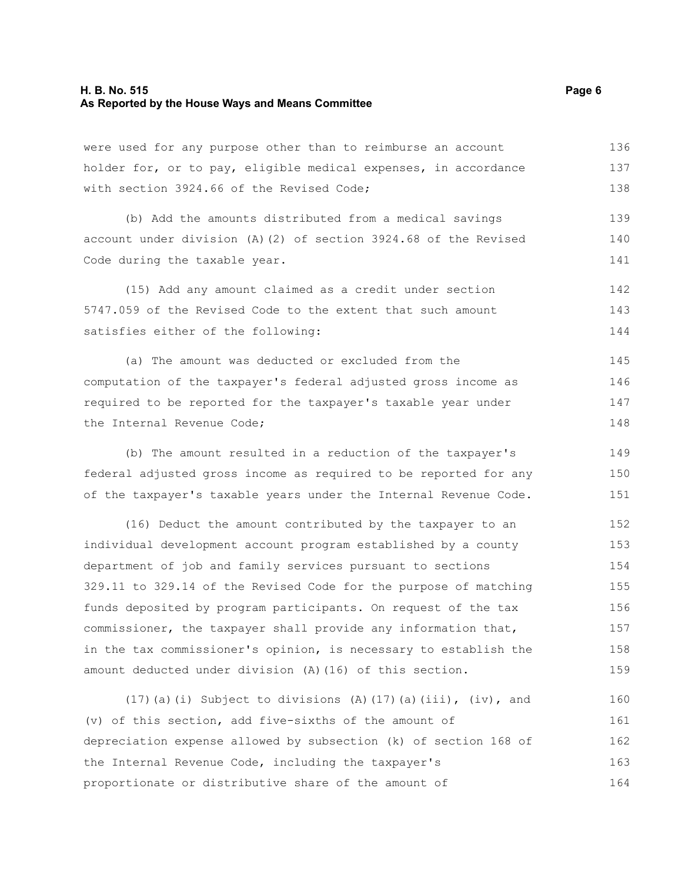#### **H. B. No. 515 Page 6 As Reported by the House Ways and Means Committee**

were used for any purpose other than to reimburse an account holder for, or to pay, eligible medical expenses, in accordance with section 3924.66 of the Revised Code; 136 137 138

(b) Add the amounts distributed from a medical savings account under division (A)(2) of section 3924.68 of the Revised Code during the taxable year. 139 140 141

(15) Add any amount claimed as a credit under section 5747.059 of the Revised Code to the extent that such amount satisfies either of the following: 142 143 144

(a) The amount was deducted or excluded from the computation of the taxpayer's federal adjusted gross income as required to be reported for the taxpayer's taxable year under the Internal Revenue Code; 145 146 147 148

(b) The amount resulted in a reduction of the taxpayer's federal adjusted gross income as required to be reported for any of the taxpayer's taxable years under the Internal Revenue Code. 149 150 151

(16) Deduct the amount contributed by the taxpayer to an individual development account program established by a county department of job and family services pursuant to sections 329.11 to 329.14 of the Revised Code for the purpose of matching funds deposited by program participants. On request of the tax commissioner, the taxpayer shall provide any information that, in the tax commissioner's opinion, is necessary to establish the amount deducted under division (A)(16) of this section. 152 153 154 155 156 157 158 159

(17)(a)(i) Subject to divisions (A)(17)(a)(iii),  $(iv)$ , and (v) of this section, add five-sixths of the amount of depreciation expense allowed by subsection (k) of section 168 of the Internal Revenue Code, including the taxpayer's proportionate or distributive share of the amount of 160 161 162 163 164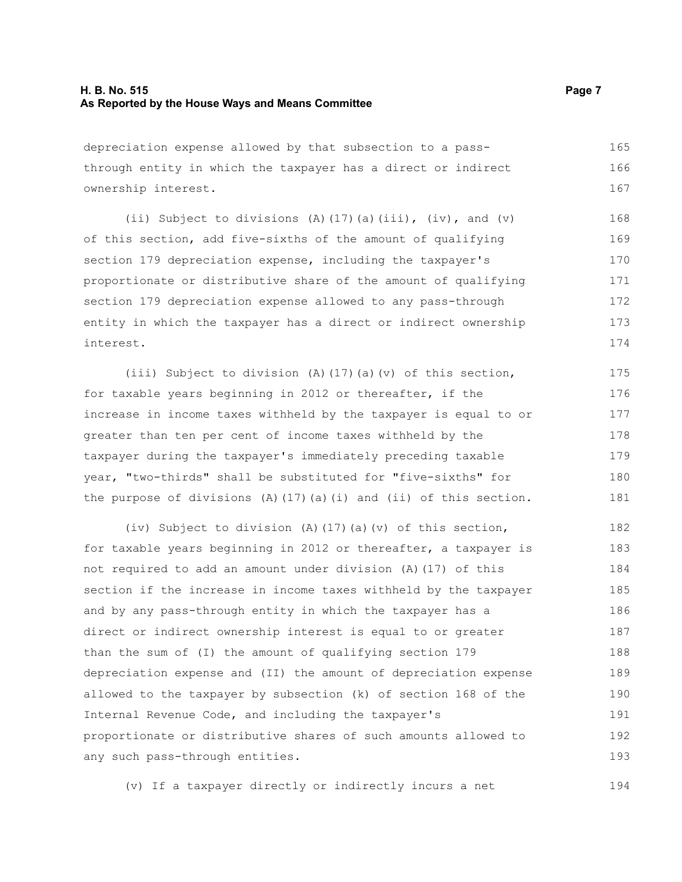#### **H. B. No. 515 Page 7 As Reported by the House Ways and Means Committee**

depreciation expense allowed by that subsection to a passthrough entity in which the taxpayer has a direct or indirect ownership interest. 165 166 167

(ii) Subject to divisions (A)(17)(a)(iii), (iv), and (v) of this section, add five-sixths of the amount of qualifying section 179 depreciation expense, including the taxpayer's proportionate or distributive share of the amount of qualifying section 179 depreciation expense allowed to any pass-through entity in which the taxpayer has a direct or indirect ownership interest. 168 169 170 171 172 173 174

(iii) Subject to division (A)(17)(a)(v) of this section, for taxable years beginning in 2012 or thereafter, if the increase in income taxes withheld by the taxpayer is equal to or greater than ten per cent of income taxes withheld by the taxpayer during the taxpayer's immediately preceding taxable year, "two-thirds" shall be substituted for "five-sixths" for the purpose of divisions  $(A)$  (17)(a)(i) and (ii) of this section. 175 176 177 178 179 180 181

(iv) Subject to division (A)(17)(a)(v) of this section, for taxable years beginning in 2012 or thereafter, a taxpayer is not required to add an amount under division (A)(17) of this section if the increase in income taxes withheld by the taxpayer and by any pass-through entity in which the taxpayer has a direct or indirect ownership interest is equal to or greater than the sum of (I) the amount of qualifying section 179 depreciation expense and (II) the amount of depreciation expense allowed to the taxpayer by subsection (k) of section 168 of the Internal Revenue Code, and including the taxpayer's proportionate or distributive shares of such amounts allowed to any such pass-through entities. 182 183 184 185 186 187 188 189 190 191 192 193

(v) If a taxpayer directly or indirectly incurs a net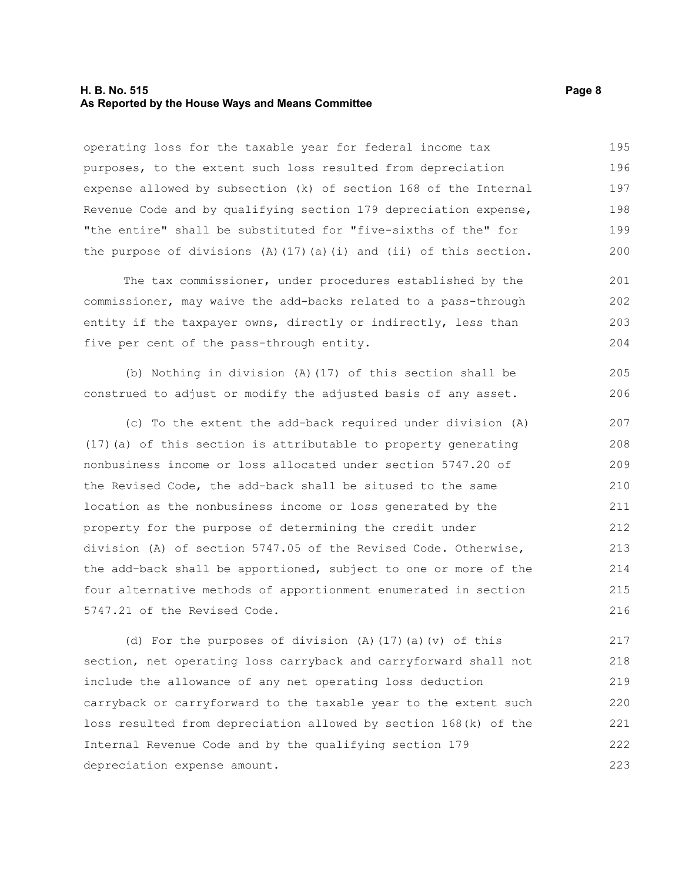#### **H. B. No. 515 Page 8 As Reported by the House Ways and Means Committee**

operating loss for the taxable year for federal income tax purposes, to the extent such loss resulted from depreciation expense allowed by subsection (k) of section 168 of the Internal Revenue Code and by qualifying section 179 depreciation expense, "the entire" shall be substituted for "five-sixths of the" for the purpose of divisions  $(A)$  (17)(a)(i) and (ii) of this section. 195 196 197 198 199 200

The tax commissioner, under procedures established by the commissioner, may waive the add-backs related to a pass-through entity if the taxpayer owns, directly or indirectly, less than five per cent of the pass-through entity. 201 202 203 204

(b) Nothing in division (A)(17) of this section shall be construed to adjust or modify the adjusted basis of any asset. 205 206

(c) To the extent the add-back required under division (A) (17)(a) of this section is attributable to property generating nonbusiness income or loss allocated under section 5747.20 of the Revised Code, the add-back shall be sitused to the same location as the nonbusiness income or loss generated by the property for the purpose of determining the credit under division (A) of section 5747.05 of the Revised Code. Otherwise, the add-back shall be apportioned, subject to one or more of the four alternative methods of apportionment enumerated in section 5747.21 of the Revised Code. 207 208 209 210 211 212 213 214 215 216

(d) For the purposes of division (A)(17)(a)(v) of this section, net operating loss carryback and carryforward shall not include the allowance of any net operating loss deduction carryback or carryforward to the taxable year to the extent such loss resulted from depreciation allowed by section 168(k) of the Internal Revenue Code and by the qualifying section 179 depreciation expense amount. 217 218 219 220 221 222 223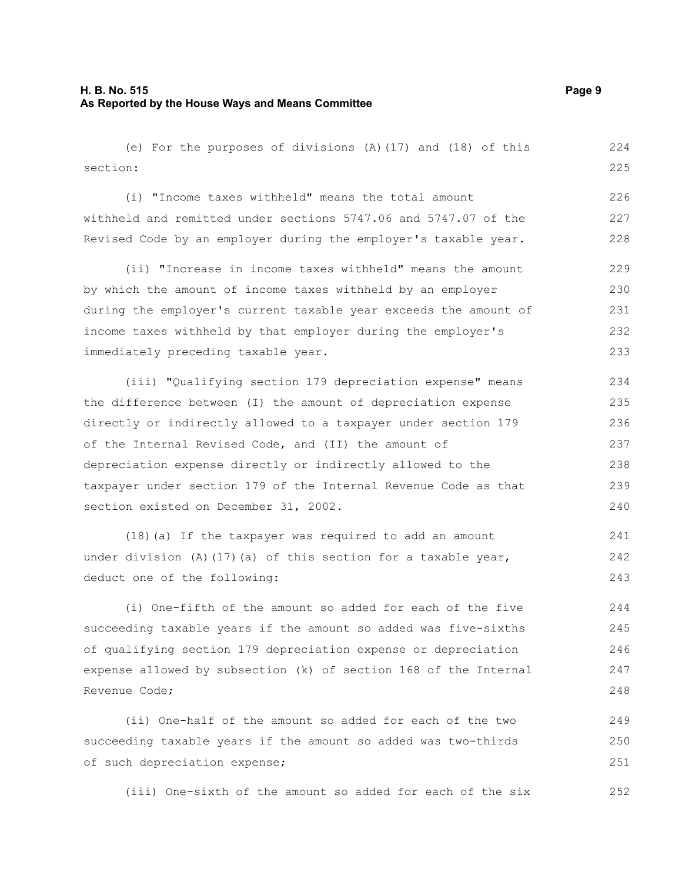(e) For the purposes of divisions (A)(17) and (18) of this section: 224 225

(i) "Income taxes withheld" means the total amount withheld and remitted under sections 5747.06 and 5747.07 of the Revised Code by an employer during the employer's taxable year. 226 227 228

(ii) "Increase in income taxes withheld" means the amount by which the amount of income taxes withheld by an employer during the employer's current taxable year exceeds the amount of income taxes withheld by that employer during the employer's immediately preceding taxable year. 229 230 231 232 233

(iii) "Qualifying section 179 depreciation expense" means the difference between (I) the amount of depreciation expense directly or indirectly allowed to a taxpayer under section 179 of the Internal Revised Code, and (II) the amount of depreciation expense directly or indirectly allowed to the taxpayer under section 179 of the Internal Revenue Code as that section existed on December 31, 2002.

(18)(a) If the taxpayer was required to add an amount under division (A)(17)(a) of this section for a taxable year, deduct one of the following: 241 242 243

(i) One-fifth of the amount so added for each of the five succeeding taxable years if the amount so added was five-sixths of qualifying section 179 depreciation expense or depreciation expense allowed by subsection (k) of section 168 of the Internal Revenue Code;

(ii) One-half of the amount so added for each of the two succeeding taxable years if the amount so added was two-thirds of such depreciation expense; 249 250 251

(iii) One-sixth of the amount so added for each of the six 252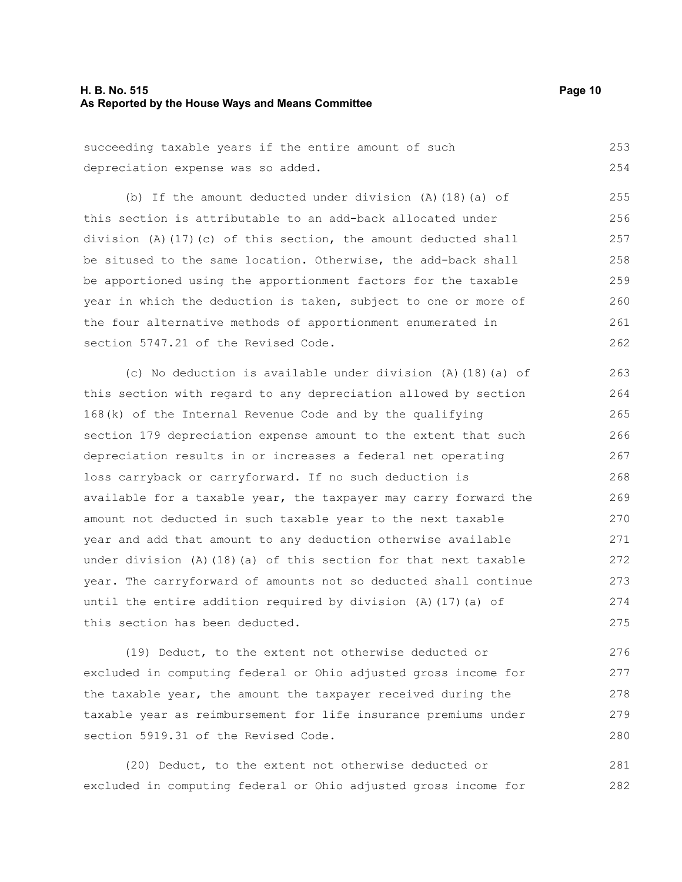#### **H. B. No. 515 Page 10 As Reported by the House Ways and Means Committee**

succeeding taxable years if the entire amount of such depreciation expense was so added. 253 254

(b) If the amount deducted under division (A)(18)(a) of this section is attributable to an add-back allocated under division (A)(17)(c) of this section, the amount deducted shall be sitused to the same location. Otherwise, the add-back shall be apportioned using the apportionment factors for the taxable year in which the deduction is taken, subject to one or more of the four alternative methods of apportionment enumerated in section 5747.21 of the Revised Code. 255 256 257 258 259 260 261 262

(c) No deduction is available under division (A)(18)(a) of this section with regard to any depreciation allowed by section 168(k) of the Internal Revenue Code and by the qualifying section 179 depreciation expense amount to the extent that such depreciation results in or increases a federal net operating loss carryback or carryforward. If no such deduction is available for a taxable year, the taxpayer may carry forward the amount not deducted in such taxable year to the next taxable year and add that amount to any deduction otherwise available under division  $(A)$  (18)(a) of this section for that next taxable year. The carryforward of amounts not so deducted shall continue until the entire addition required by division  $(A)$  (17)(a) of this section has been deducted. 263 264 265 266 267 268 269 270 271 272 273 274 275

(19) Deduct, to the extent not otherwise deducted or excluded in computing federal or Ohio adjusted gross income for the taxable year, the amount the taxpayer received during the taxable year as reimbursement for life insurance premiums under section 5919.31 of the Revised Code. 276 277 278 279 280

(20) Deduct, to the extent not otherwise deducted or excluded in computing federal or Ohio adjusted gross income for 281 282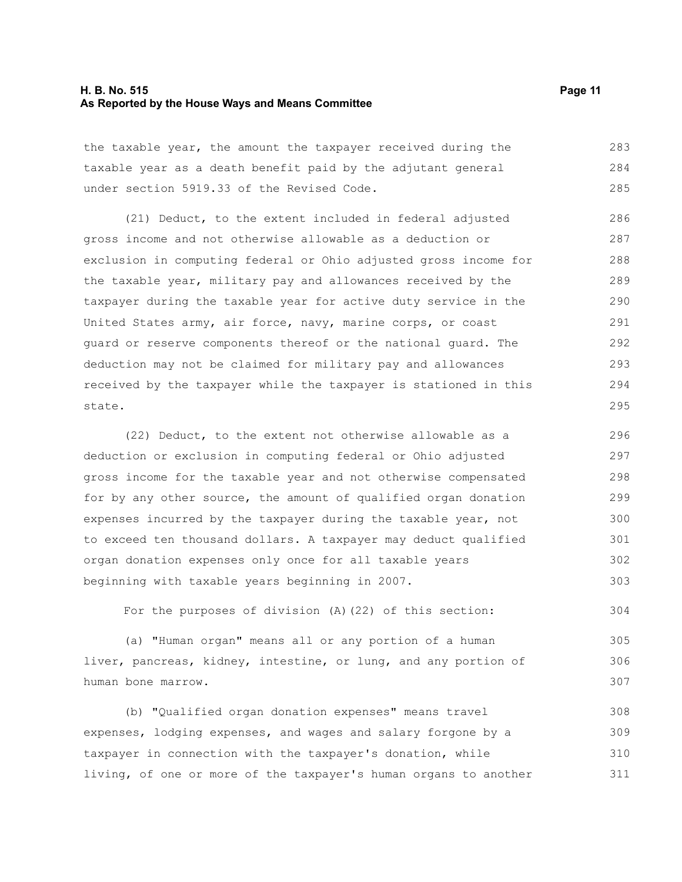#### **H. B. No. 515 Page 11 As Reported by the House Ways and Means Committee**

the taxable year, the amount the taxpayer received during the taxable year as a death benefit paid by the adjutant general under section 5919.33 of the Revised Code. 283 284 285

(21) Deduct, to the extent included in federal adjusted gross income and not otherwise allowable as a deduction or exclusion in computing federal or Ohio adjusted gross income for the taxable year, military pay and allowances received by the taxpayer during the taxable year for active duty service in the United States army, air force, navy, marine corps, or coast guard or reserve components thereof or the national guard. The deduction may not be claimed for military pay and allowances received by the taxpayer while the taxpayer is stationed in this state. 286 287 288 289 290 291 292 293 294 295

(22) Deduct, to the extent not otherwise allowable as a deduction or exclusion in computing federal or Ohio adjusted gross income for the taxable year and not otherwise compensated for by any other source, the amount of qualified organ donation expenses incurred by the taxpayer during the taxable year, not to exceed ten thousand dollars. A taxpayer may deduct qualified organ donation expenses only once for all taxable years beginning with taxable years beginning in 2007. 296 297 298 299 300 301 302 303

For the purposes of division (A)(22) of this section: 304

(a) "Human organ" means all or any portion of a human liver, pancreas, kidney, intestine, or lung, and any portion of human bone marrow. 305 306 307

(b) "Qualified organ donation expenses" means travel expenses, lodging expenses, and wages and salary forgone by a taxpayer in connection with the taxpayer's donation, while living, of one or more of the taxpayer's human organs to another 308 309 310 311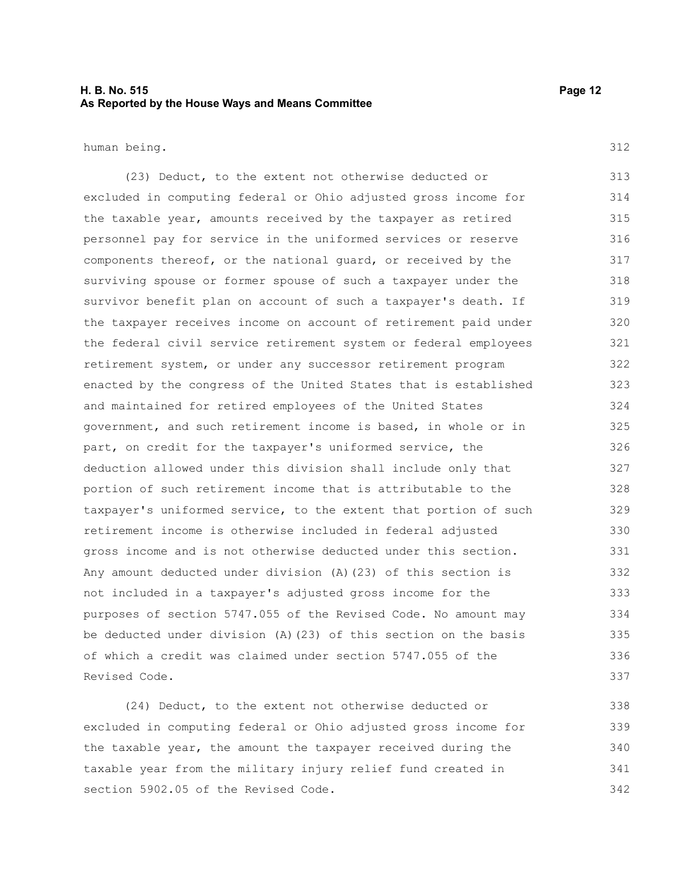#### **H. B. No. 515 Page 12 As Reported by the House Ways and Means Committee**

human being.

312

(23) Deduct, to the extent not otherwise deducted or excluded in computing federal or Ohio adjusted gross income for the taxable year, amounts received by the taxpayer as retired personnel pay for service in the uniformed services or reserve components thereof, or the national guard, or received by the surviving spouse or former spouse of such a taxpayer under the survivor benefit plan on account of such a taxpayer's death. If the taxpayer receives income on account of retirement paid under the federal civil service retirement system or federal employees retirement system, or under any successor retirement program enacted by the congress of the United States that is established and maintained for retired employees of the United States government, and such retirement income is based, in whole or in part, on credit for the taxpayer's uniformed service, the deduction allowed under this division shall include only that portion of such retirement income that is attributable to the taxpayer's uniformed service, to the extent that portion of such retirement income is otherwise included in federal adjusted gross income and is not otherwise deducted under this section. Any amount deducted under division (A)(23) of this section is not included in a taxpayer's adjusted gross income for the purposes of section 5747.055 of the Revised Code. No amount may be deducted under division (A)(23) of this section on the basis of which a credit was claimed under section 5747.055 of the Revised Code. 313 314 315 316 317 318 319 320 321 322 323 324 325 326 327 328 329 330 331 332 333 334 335 336 337

(24) Deduct, to the extent not otherwise deducted or excluded in computing federal or Ohio adjusted gross income for the taxable year, the amount the taxpayer received during the taxable year from the military injury relief fund created in section 5902.05 of the Revised Code. 338 339 340 341 342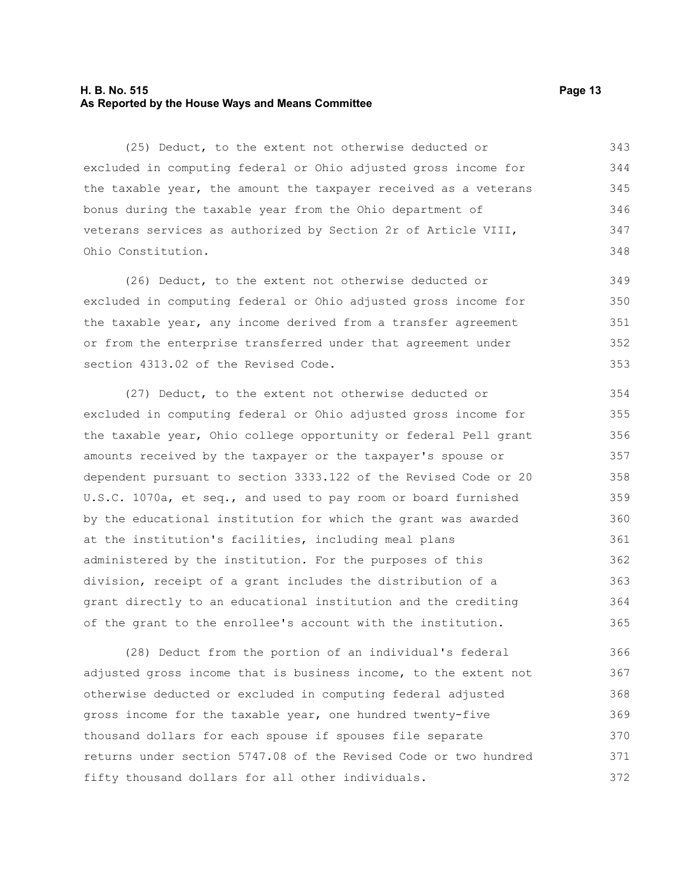#### **H. B. No. 515 Page 13 As Reported by the House Ways and Means Committee**

(25) Deduct, to the extent not otherwise deducted or excluded in computing federal or Ohio adjusted gross income for the taxable year, the amount the taxpayer received as a veterans bonus during the taxable year from the Ohio department of veterans services as authorized by Section 2r of Article VIII, Ohio Constitution. 343 344 345 346 347 348

(26) Deduct, to the extent not otherwise deducted or excluded in computing federal or Ohio adjusted gross income for the taxable year, any income derived from a transfer agreement or from the enterprise transferred under that agreement under section 4313.02 of the Revised Code. 349 350 351 352 353

(27) Deduct, to the extent not otherwise deducted or excluded in computing federal or Ohio adjusted gross income for the taxable year, Ohio college opportunity or federal Pell grant amounts received by the taxpayer or the taxpayer's spouse or dependent pursuant to section 3333.122 of the Revised Code or 20 U.S.C. 1070a, et seq., and used to pay room or board furnished by the educational institution for which the grant was awarded at the institution's facilities, including meal plans administered by the institution. For the purposes of this division, receipt of a grant includes the distribution of a grant directly to an educational institution and the crediting of the grant to the enrollee's account with the institution. 354 355 356 357 358 359 360 361 362 363 364 365

(28) Deduct from the portion of an individual's federal adjusted gross income that is business income, to the extent not otherwise deducted or excluded in computing federal adjusted gross income for the taxable year, one hundred twenty-five thousand dollars for each spouse if spouses file separate returns under section 5747.08 of the Revised Code or two hundred fifty thousand dollars for all other individuals. 366 367 368 369 370 371 372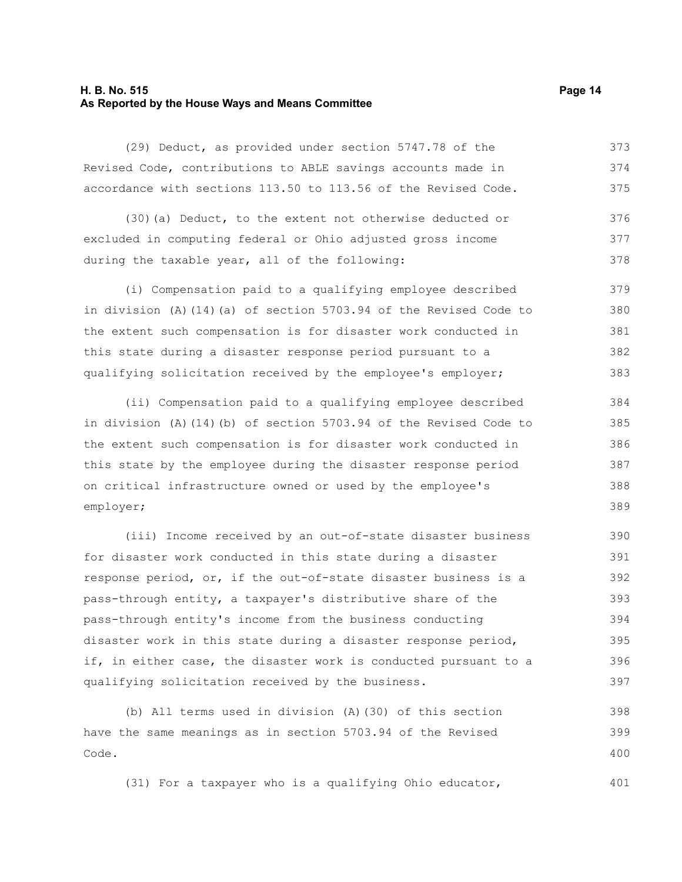#### **H. B. No. 515 Page 14 As Reported by the House Ways and Means Committee**

(29) Deduct, as provided under section 5747.78 of the Revised Code, contributions to ABLE savings accounts made in accordance with sections 113.50 to 113.56 of the Revised Code. 373 374 375

(30)(a) Deduct, to the extent not otherwise deducted or excluded in computing federal or Ohio adjusted gross income during the taxable year, all of the following: 376 377 378

(i) Compensation paid to a qualifying employee described in division (A)(14)(a) of section 5703.94 of the Revised Code to the extent such compensation is for disaster work conducted in this state during a disaster response period pursuant to a qualifying solicitation received by the employee's employer; 379 380 381 382 383

(ii) Compensation paid to a qualifying employee described in division (A)(14)(b) of section 5703.94 of the Revised Code to the extent such compensation is for disaster work conducted in this state by the employee during the disaster response period on critical infrastructure owned or used by the employee's employer; 384 385 386 387 388 389

(iii) Income received by an out-of-state disaster business for disaster work conducted in this state during a disaster response period, or, if the out-of-state disaster business is a pass-through entity, a taxpayer's distributive share of the pass-through entity's income from the business conducting disaster work in this state during a disaster response period, if, in either case, the disaster work is conducted pursuant to a qualifying solicitation received by the business. 390 391 392 393 394 395 396 397

(b) All terms used in division (A)(30) of this section have the same meanings as in section 5703.94 of the Revised Code. 398 399 400

(31) For a taxpayer who is a qualifying Ohio educator,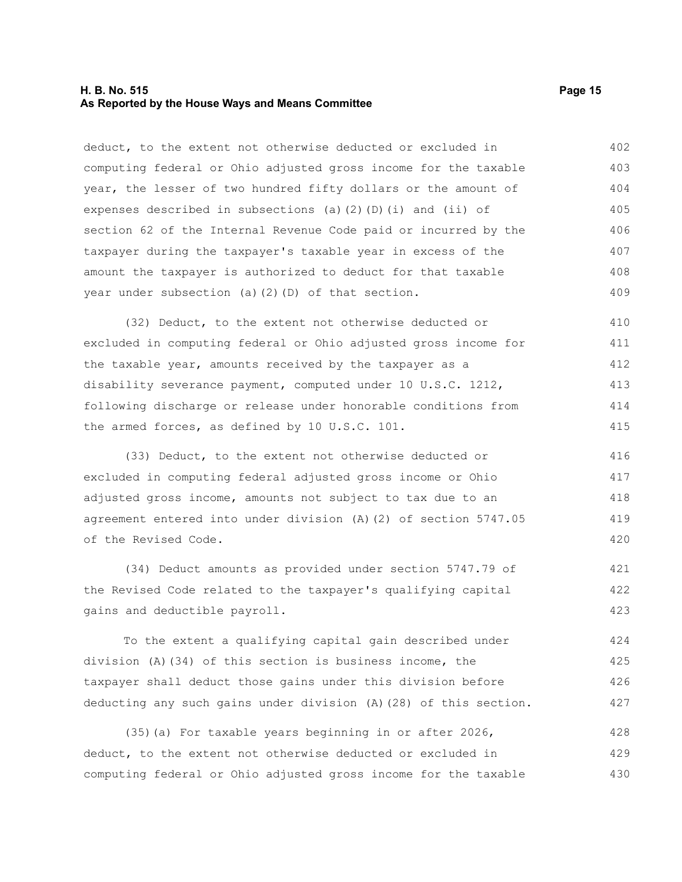#### **H. B. No. 515 Page 15 As Reported by the House Ways and Means Committee**

deduct, to the extent not otherwise deducted or excluded in computing federal or Ohio adjusted gross income for the taxable year, the lesser of two hundred fifty dollars or the amount of expenses described in subsections (a)(2)(D)(i) and (ii) of section 62 of the Internal Revenue Code paid or incurred by the taxpayer during the taxpayer's taxable year in excess of the amount the taxpayer is authorized to deduct for that taxable year under subsection (a)(2)(D) of that section. 402 403 404 405 406 407 408 409

(32) Deduct, to the extent not otherwise deducted or excluded in computing federal or Ohio adjusted gross income for the taxable year, amounts received by the taxpayer as a disability severance payment, computed under 10 U.S.C. 1212, following discharge or release under honorable conditions from the armed forces, as defined by 10 U.S.C. 101. 410 411 412 413 414 415

(33) Deduct, to the extent not otherwise deducted or excluded in computing federal adjusted gross income or Ohio adjusted gross income, amounts not subject to tax due to an agreement entered into under division (A)(2) of section 5747.05 of the Revised Code. 416 417 418 419 420

(34) Deduct amounts as provided under section 5747.79 of the Revised Code related to the taxpayer's qualifying capital gains and deductible payroll. 421 422 423

To the extent a qualifying capital gain described under division (A)(34) of this section is business income, the taxpayer shall deduct those gains under this division before deducting any such gains under division (A)(28) of this section. 424 425 426 427

(35)(a) For taxable years beginning in or after 2026, deduct, to the extent not otherwise deducted or excluded in computing federal or Ohio adjusted gross income for the taxable 428 429 430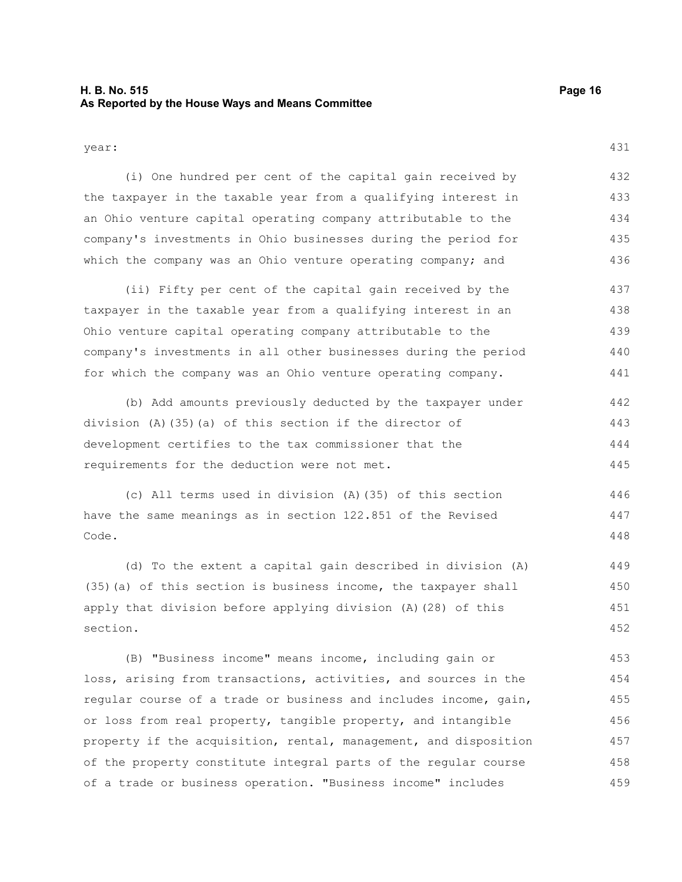#### **H. B. No. 515 Page 16 As Reported by the House Ways and Means Committee**

431

year:

(i) One hundred per cent of the capital gain received by the taxpayer in the taxable year from a qualifying interest in an Ohio venture capital operating company attributable to the company's investments in Ohio businesses during the period for which the company was an Ohio venture operating company; and 432 433 434 435 436

(ii) Fifty per cent of the capital gain received by the taxpayer in the taxable year from a qualifying interest in an Ohio venture capital operating company attributable to the company's investments in all other businesses during the period for which the company was an Ohio venture operating company. 437 438 439 440 441

(b) Add amounts previously deducted by the taxpayer under division (A)(35)(a) of this section if the director of development certifies to the tax commissioner that the requirements for the deduction were not met. 442 443 444 445

(c) All terms used in division (A)(35) of this section have the same meanings as in section 122.851 of the Revised Code. 446 447 448

(d) To the extent a capital gain described in division (A) (35)(a) of this section is business income, the taxpayer shall apply that division before applying division (A)(28) of this section. 449 450 451 452

(B) "Business income" means income, including gain or loss, arising from transactions, activities, and sources in the regular course of a trade or business and includes income, gain, or loss from real property, tangible property, and intangible property if the acquisition, rental, management, and disposition of the property constitute integral parts of the regular course of a trade or business operation. "Business income" includes 453 454 455 456 457 458 459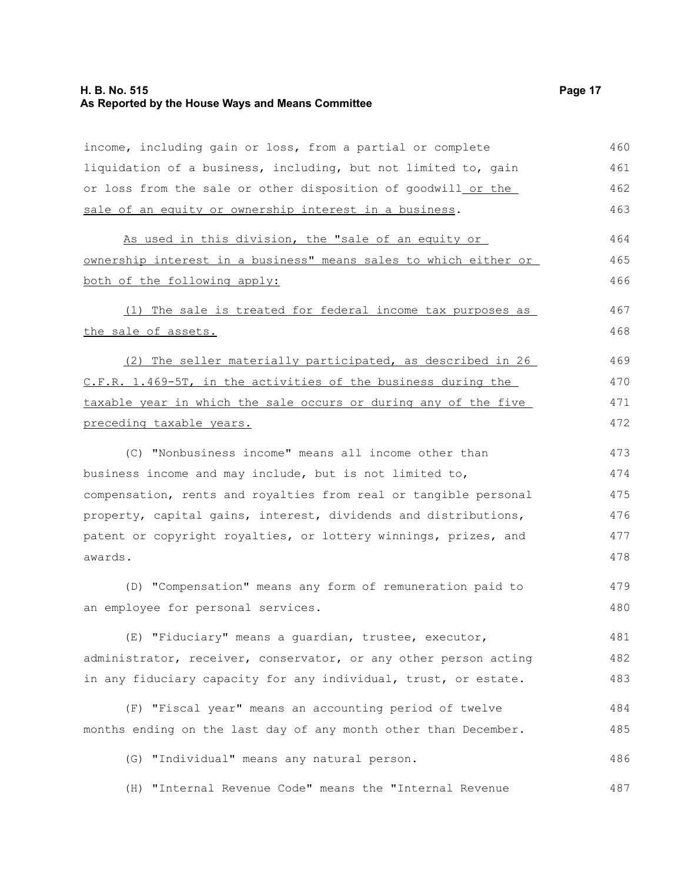## **H. B. No. 515 Page 17 As Reported by the House Ways and Means Committee**

| income, including gain or loss, from a partial or complete       | 460 |
|------------------------------------------------------------------|-----|
| liquidation of a business, including, but not limited to, gain   | 461 |
| or loss from the sale or other disposition of goodwill_or the    | 462 |
| sale of an equity or ownership interest in a business.           | 463 |
| As used in this division, the "sale of an equity or              | 464 |
| ownership interest in a business" means sales to which either or | 465 |
| both of the following apply:                                     | 466 |
| (1) The sale is treated for federal income tax purposes as       | 467 |
| the sale of assets.                                              | 468 |
| (2) The seller materially participated, as described in 26       | 469 |
| C.F.R. 1.469-5T, in the activities of the business during the    | 470 |
| taxable year in which the sale occurs or during any of the five  | 471 |
| preceding taxable years.                                         | 472 |
| (C) "Nonbusiness income" means all income other than             | 473 |
| business income and may include, but is not limited to,          | 474 |
| compensation, rents and royalties from real or tangible personal | 475 |
| property, capital gains, interest, dividends and distributions,  | 476 |
| patent or copyright royalties, or lottery winnings, prizes, and  | 477 |
| awards.                                                          | 478 |
| (D) "Compensation" means any form of remuneration paid to        | 479 |
| an employee for personal services.                               | 480 |
| (E) "Fiduciary" means a quardian, trustee, executor,             | 481 |
| administrator, receiver, conservator, or any other person acting | 482 |
| in any fiduciary capacity for any individual, trust, or estate.  | 483 |
| (F) "Fiscal year" means an accounting period of twelve           | 484 |
| months ending on the last day of any month other than December.  | 485 |
| (G) "Individual" means any natural person.                       | 486 |
| (H) "Internal Revenue Code" means the "Internal Revenue          | 487 |
|                                                                  |     |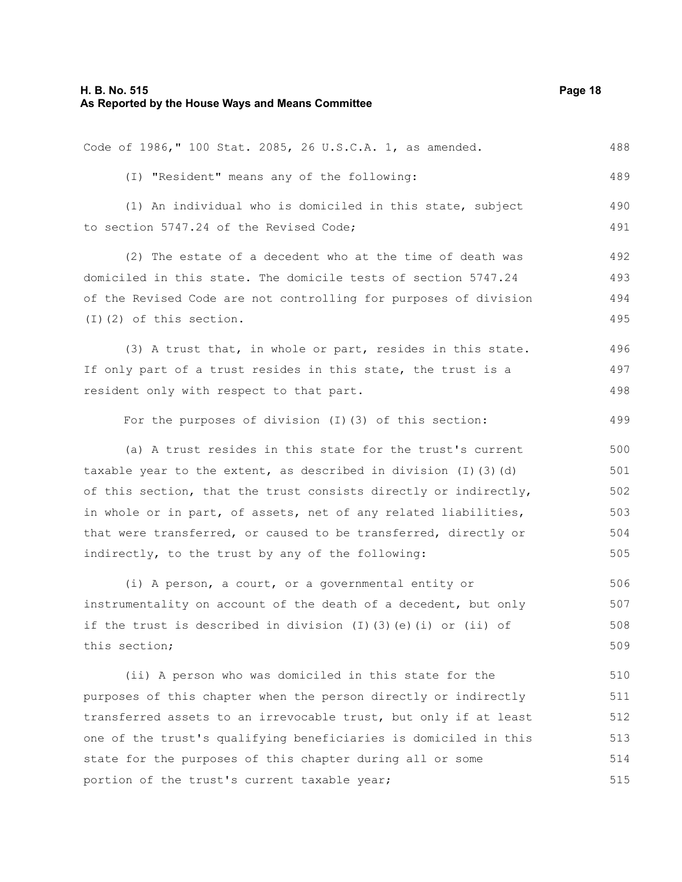| Code of 1986," 100 Stat. 2085, 26 U.S.C.A. 1, as amended.                  | 488 |
|----------------------------------------------------------------------------|-----|
| (I) "Resident" means any of the following:                                 | 489 |
| (1) An individual who is domiciled in this state, subject                  | 490 |
| to section 5747.24 of the Revised Code;                                    | 491 |
| (2) The estate of a decedent who at the time of death was                  | 492 |
| domiciled in this state. The domicile tests of section 5747.24             |     |
| of the Revised Code are not controlling for purposes of division           | 494 |
| $(I)$ $(2)$ of this section.                                               | 495 |
| (3) A trust that, in whole or part, resides in this state.                 | 496 |
| If only part of a trust resides in this state, the trust is a              | 497 |
| resident only with respect to that part.                                   | 498 |
| For the purposes of division (I) (3) of this section:                      | 499 |
| (a) A trust resides in this state for the trust's current                  | 500 |
| taxable year to the extent, as described in division $(I)$ $(3)$ $(d)$     |     |
| of this section, that the trust consists directly or indirectly,           | 502 |
| in whole or in part, of assets, net of any related liabilities,            | 503 |
| that were transferred, or caused to be transferred, directly or            | 504 |
| indirectly, to the trust by any of the following:                          | 505 |
| (i) A person, a court, or a governmental entity or                         | 506 |
| instrumentality on account of the death of a decedent, but only            | 507 |
| if the trust is described in division $(I)$ $(3)$ $(e)$ $(i)$ or $(ii)$ of | 508 |
| this section;                                                              | 509 |
| (ii) A person who was domiciled in this state for the                      | 510 |
| purposes of this chapter when the person directly or indirectly            | 511 |
| transferred assets to an irrevocable trust, but only if at least           | 512 |
| one of the trust's qualifying beneficiaries is domiciled in this           |     |
| state for the purposes of this chapter during all or some                  | 514 |
| portion of the trust's current taxable year;                               |     |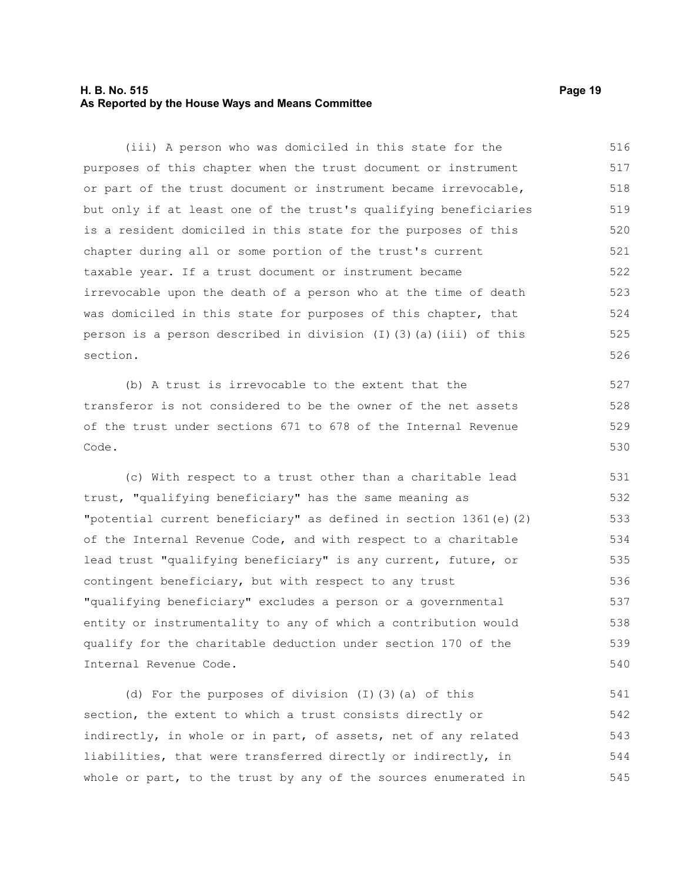#### **H. B. No. 515 Page 19 As Reported by the House Ways and Means Committee**

(iii) A person who was domiciled in this state for the purposes of this chapter when the trust document or instrument or part of the trust document or instrument became irrevocable, but only if at least one of the trust's qualifying beneficiaries is a resident domiciled in this state for the purposes of this chapter during all or some portion of the trust's current taxable year. If a trust document or instrument became irrevocable upon the death of a person who at the time of death was domiciled in this state for purposes of this chapter, that person is a person described in division (I)(3)(a)(iii) of this section. 516 517 518 519 520 521 522 523 524 525 526

(b) A trust is irrevocable to the extent that the transferor is not considered to be the owner of the net assets of the trust under sections 671 to 678 of the Internal Revenue Code.

(c) With respect to a trust other than a charitable lead trust, "qualifying beneficiary" has the same meaning as "potential current beneficiary" as defined in section 1361(e)(2) of the Internal Revenue Code, and with respect to a charitable lead trust "qualifying beneficiary" is any current, future, or contingent beneficiary, but with respect to any trust "qualifying beneficiary" excludes a person or a governmental entity or instrumentality to any of which a contribution would qualify for the charitable deduction under section 170 of the Internal Revenue Code. 531 532 533 534 535 536 537 538 539 540

(d) For the purposes of division (I)(3)(a) of this section, the extent to which a trust consists directly or indirectly, in whole or in part, of assets, net of any related liabilities, that were transferred directly or indirectly, in whole or part, to the trust by any of the sources enumerated in 541 542 543 544 545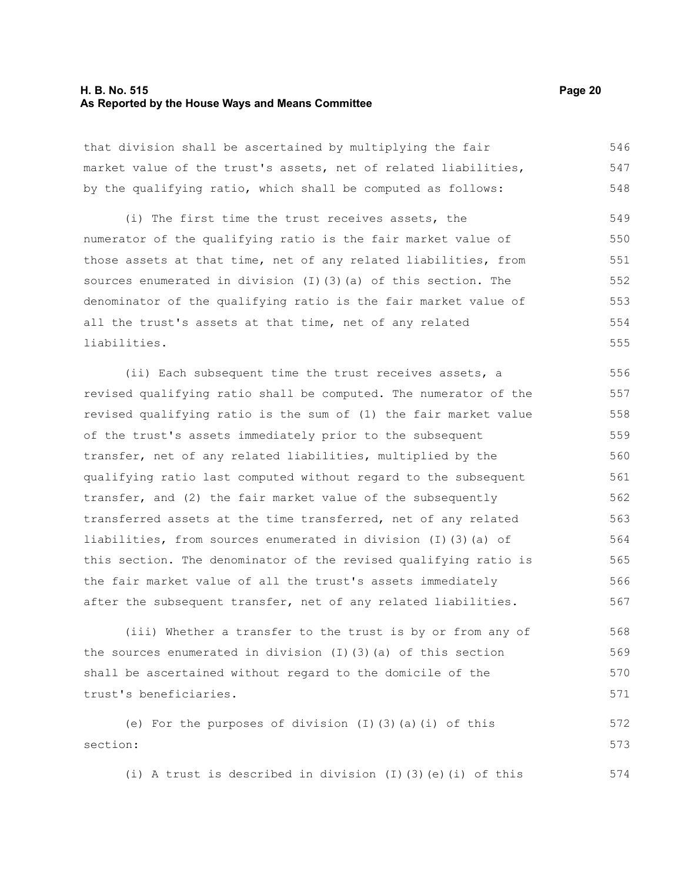#### **H. B. No. 515 Page 20 As Reported by the House Ways and Means Committee**

that division shall be ascertained by multiplying the fair market value of the trust's assets, net of related liabilities, by the qualifying ratio, which shall be computed as follows: 546 547 548

(i) The first time the trust receives assets, the numerator of the qualifying ratio is the fair market value of those assets at that time, net of any related liabilities, from sources enumerated in division (I)(3)(a) of this section. The denominator of the qualifying ratio is the fair market value of all the trust's assets at that time, net of any related liabilities. 549 550 551 552 553 554 555

(ii) Each subsequent time the trust receives assets, a revised qualifying ratio shall be computed. The numerator of the revised qualifying ratio is the sum of (1) the fair market value of the trust's assets immediately prior to the subsequent transfer, net of any related liabilities, multiplied by the qualifying ratio last computed without regard to the subsequent transfer, and (2) the fair market value of the subsequently transferred assets at the time transferred, net of any related liabilities, from sources enumerated in division (I)(3)(a) of this section. The denominator of the revised qualifying ratio is the fair market value of all the trust's assets immediately after the subsequent transfer, net of any related liabilities. 556 557 558 559 560 561 562 563 564 565 566 567

(iii) Whether a transfer to the trust is by or from any of the sources enumerated in division (I)(3)(a) of this section shall be ascertained without regard to the domicile of the trust's beneficiaries. 568 569 570 571

(e) For the purposes of division (I)(3)(a)(i) of this section: 572 573

(i) A trust is described in division (I)(3)(e)(i) of this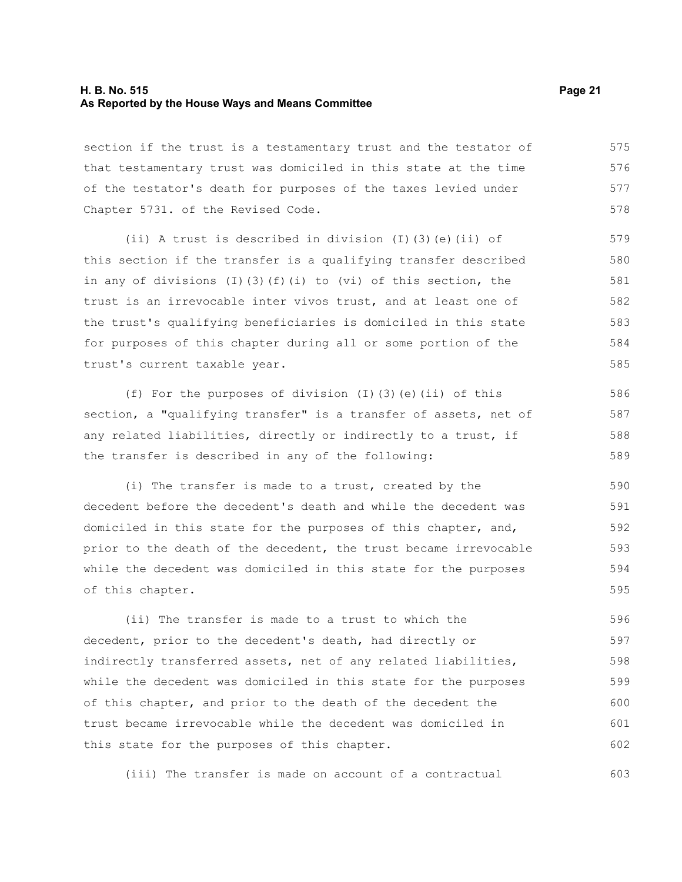#### **H. B. No. 515 Page 21 As Reported by the House Ways and Means Committee**

section if the trust is a testamentary trust and the testator of that testamentary trust was domiciled in this state at the time of the testator's death for purposes of the taxes levied under Chapter 5731. of the Revised Code. 575 576 577 578

(ii) A trust is described in division (I)(3)(e)(ii) of this section if the transfer is a qualifying transfer described in any of divisions (I)(3)(f)(i) to (vi) of this section, the trust is an irrevocable inter vivos trust, and at least one of the trust's qualifying beneficiaries is domiciled in this state for purposes of this chapter during all or some portion of the trust's current taxable year.

(f) For the purposes of division  $(I)(3)(e)(ii)$  of this section, a "qualifying transfer" is a transfer of assets, net of any related liabilities, directly or indirectly to a trust, if the transfer is described in any of the following:

(i) The transfer is made to a trust, created by the decedent before the decedent's death and while the decedent was domiciled in this state for the purposes of this chapter, and, prior to the death of the decedent, the trust became irrevocable while the decedent was domiciled in this state for the purposes of this chapter. 590 591 592 593 594 595

(ii) The transfer is made to a trust to which the decedent, prior to the decedent's death, had directly or indirectly transferred assets, net of any related liabilities, while the decedent was domiciled in this state for the purposes of this chapter, and prior to the death of the decedent the trust became irrevocable while the decedent was domiciled in this state for the purposes of this chapter. 596 597 598 599 600 601 602

(iii) The transfer is made on account of a contractual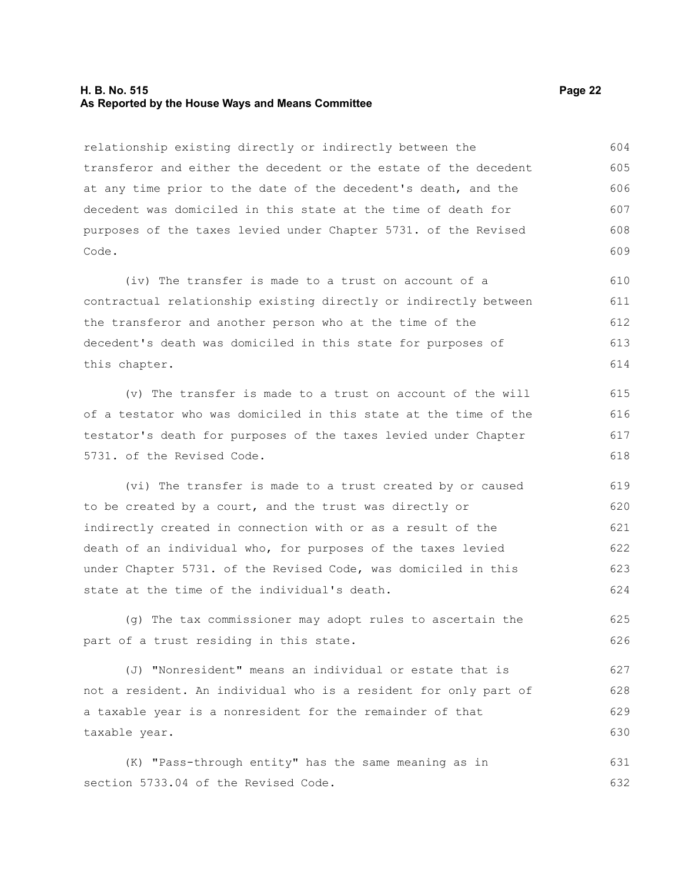#### **H. B. No. 515 Page 22 As Reported by the House Ways and Means Committee**

relationship existing directly or indirectly between the transferor and either the decedent or the estate of the decedent at any time prior to the date of the decedent's death, and the decedent was domiciled in this state at the time of death for purposes of the taxes levied under Chapter 5731. of the Revised Code. 604 605 606 607 608 609

(iv) The transfer is made to a trust on account of a contractual relationship existing directly or indirectly between the transferor and another person who at the time of the decedent's death was domiciled in this state for purposes of this chapter. 610 611 612 613 614

(v) The transfer is made to a trust on account of the will of a testator who was domiciled in this state at the time of the testator's death for purposes of the taxes levied under Chapter 5731. of the Revised Code.

(vi) The transfer is made to a trust created by or caused to be created by a court, and the trust was directly or indirectly created in connection with or as a result of the death of an individual who, for purposes of the taxes levied under Chapter 5731. of the Revised Code, was domiciled in this state at the time of the individual's death. 619 620 621 622 623 624

(g) The tax commissioner may adopt rules to ascertain the part of a trust residing in this state.

(J) "Nonresident" means an individual or estate that is not a resident. An individual who is a resident for only part of a taxable year is a nonresident for the remainder of that taxable year. 627 628 629 630

(K) "Pass-through entity" has the same meaning as in section 5733.04 of the Revised Code. 631 632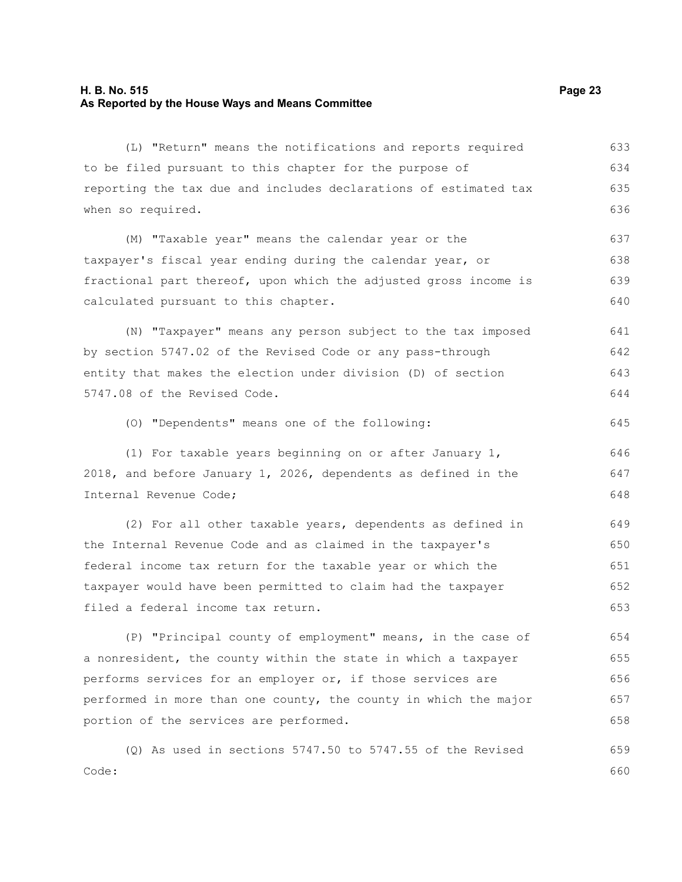#### **H. B. No. 515 Page 23 As Reported by the House Ways and Means Committee**

to be filed pursuant to this chapter for the purpose of reporting the tax due and includes declarations of estimated tax when so required. (M) "Taxable year" means the calendar year or the taxpayer's fiscal year ending during the calendar year, or fractional part thereof, upon which the adjusted gross income is calculated pursuant to this chapter. (N) "Taxpayer" means any person subject to the tax imposed by section 5747.02 of the Revised Code or any pass-through entity that makes the election under division (D) of section 5747.08 of the Revised Code. (O) "Dependents" means one of the following: (1) For taxable years beginning on or after January 1, 2018, and before January 1, 2026, dependents as defined in the Internal Revenue Code; (2) For all other taxable years, dependents as defined in the Internal Revenue Code and as claimed in the taxpayer's federal income tax return for the taxable year or which the taxpayer would have been permitted to claim had the taxpayer filed a federal income tax return. (P) "Principal county of employment" means, in the case of a nonresident, the county within the state in which a taxpayer performs services for an employer or, if those services are performed in more than one county, the county in which the major portion of the services are performed. (Q) As used in sections 5747.50 to 5747.55 of the Revised Code: 634 635 636 637 638 639 640 641 642 643 644 645 646 647 648 649 650 651 652 653 654 655 656 657 658 659 660

(L) "Return" means the notifications and reports required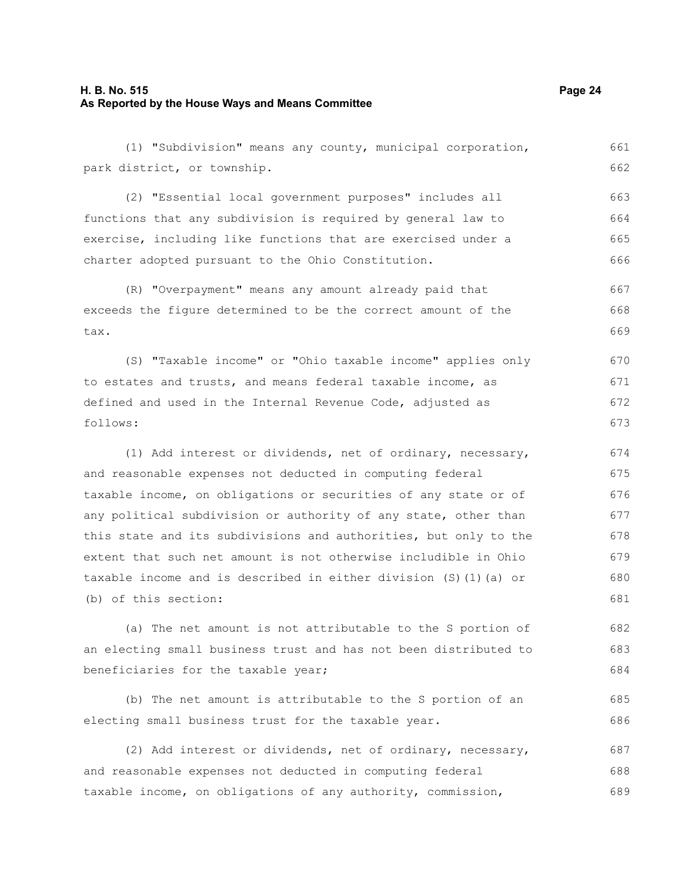#### **H. B. No. 515 Page 24 As Reported by the House Ways and Means Committee**

(1) "Subdivision" means any county, municipal corporation, park district, or township. (2) "Essential local government purposes" includes all functions that any subdivision is required by general law to exercise, including like functions that are exercised under a charter adopted pursuant to the Ohio Constitution. (R) "Overpayment" means any amount already paid that exceeds the figure determined to be the correct amount of the tax. (S) "Taxable income" or "Ohio taxable income" applies only to estates and trusts, and means federal taxable income, as defined and used in the Internal Revenue Code, adjusted as follows: (1) Add interest or dividends, net of ordinary, necessary, and reasonable expenses not deducted in computing federal taxable income, on obligations or securities of any state or of any political subdivision or authority of any state, other than 661 662 663 664 665 666 667 668 669 670 671 672 673 674 675 676 677

this state and its subdivisions and authorities, but only to the extent that such net amount is not otherwise includible in Ohio taxable income and is described in either division (S)(1)(a) or (b) of this section: 678 679 680 681

(a) The net amount is not attributable to the S portion of an electing small business trust and has not been distributed to beneficiaries for the taxable year; 682 683 684

(b) The net amount is attributable to the S portion of an electing small business trust for the taxable year.

(2) Add interest or dividends, net of ordinary, necessary, and reasonable expenses not deducted in computing federal taxable income, on obligations of any authority, commission, 687 688 689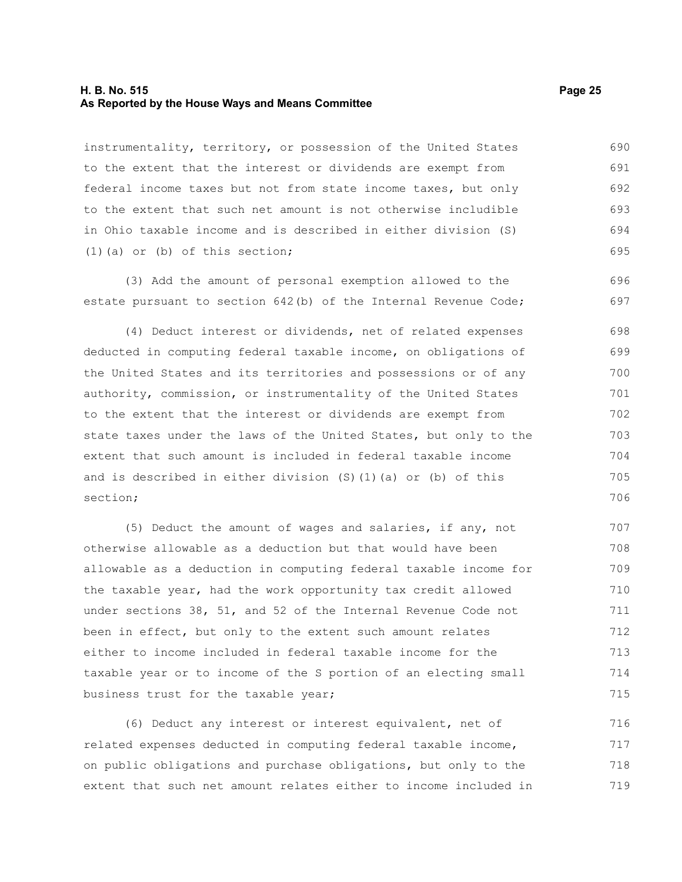#### **H. B. No. 515 Page 25 As Reported by the House Ways and Means Committee**

instrumentality, territory, or possession of the United States to the extent that the interest or dividends are exempt from federal income taxes but not from state income taxes, but only to the extent that such net amount is not otherwise includible in Ohio taxable income and is described in either division (S) (1)(a) or (b) of this section; 690 691 692 693 694 695

(3) Add the amount of personal exemption allowed to the estate pursuant to section 642(b) of the Internal Revenue Code; 696 697

(4) Deduct interest or dividends, net of related expenses deducted in computing federal taxable income, on obligations of the United States and its territories and possessions or of any authority, commission, or instrumentality of the United States to the extent that the interest or dividends are exempt from state taxes under the laws of the United States, but only to the extent that such amount is included in federal taxable income and is described in either division (S)(1)(a) or (b) of this section; 698 699 700 701 702 703 704 705 706

(5) Deduct the amount of wages and salaries, if any, not otherwise allowable as a deduction but that would have been allowable as a deduction in computing federal taxable income for the taxable year, had the work opportunity tax credit allowed under sections 38, 51, and 52 of the Internal Revenue Code not been in effect, but only to the extent such amount relates either to income included in federal taxable income for the taxable year or to income of the S portion of an electing small business trust for the taxable year; 707 708 709 710 711 712 713 714 715

(6) Deduct any interest or interest equivalent, net of related expenses deducted in computing federal taxable income, on public obligations and purchase obligations, but only to the extent that such net amount relates either to income included in 716 717 718 719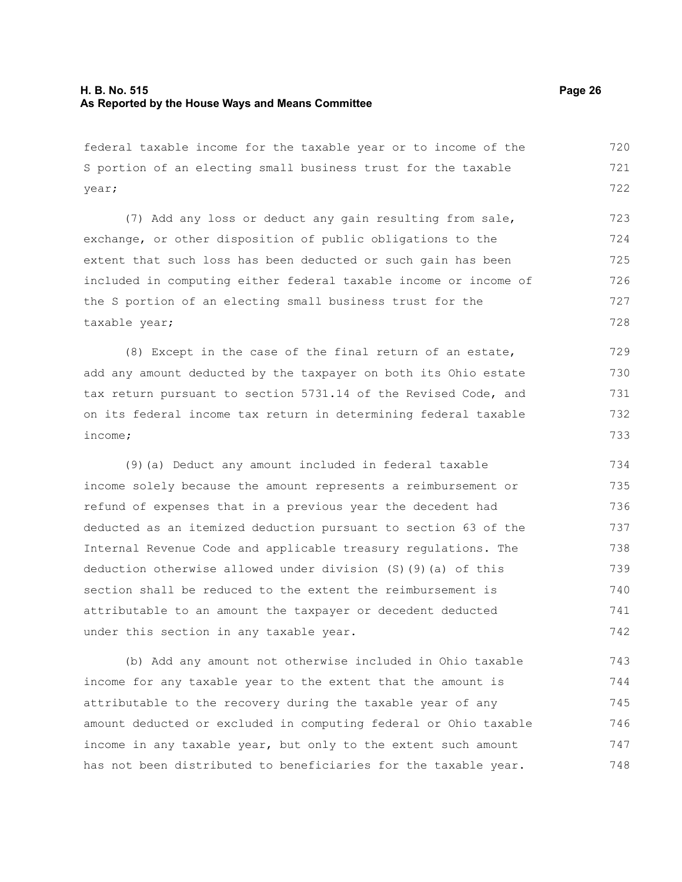federal taxable income for the taxable year or to income of the S portion of an electing small business trust for the taxable year; 720 721 722

(7) Add any loss or deduct any gain resulting from sale, exchange, or other disposition of public obligations to the extent that such loss has been deducted or such gain has been included in computing either federal taxable income or income of the S portion of an electing small business trust for the taxable year; 723 724 725 726 727 728

(8) Except in the case of the final return of an estate, add any amount deducted by the taxpayer on both its Ohio estate tax return pursuant to section 5731.14 of the Revised Code, and on its federal income tax return in determining federal taxable income; 729 730 731 732 733

(9)(a) Deduct any amount included in federal taxable income solely because the amount represents a reimbursement or refund of expenses that in a previous year the decedent had deducted as an itemized deduction pursuant to section 63 of the Internal Revenue Code and applicable treasury regulations. The deduction otherwise allowed under division (S)(9)(a) of this section shall be reduced to the extent the reimbursement is attributable to an amount the taxpayer or decedent deducted under this section in any taxable year. 734 735 736 737 738 739 740 741 742

(b) Add any amount not otherwise included in Ohio taxable income for any taxable year to the extent that the amount is attributable to the recovery during the taxable year of any amount deducted or excluded in computing federal or Ohio taxable income in any taxable year, but only to the extent such amount has not been distributed to beneficiaries for the taxable year. 743 744 745 746 747 748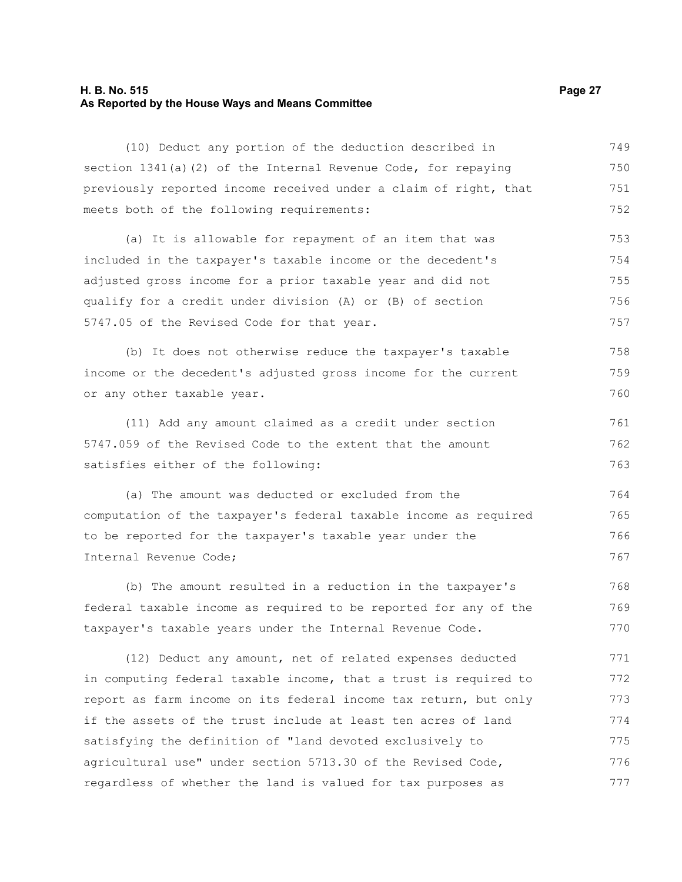#### **H. B. No. 515 Page 27 As Reported by the House Ways and Means Committee**

(10) Deduct any portion of the deduction described in section 1341(a)(2) of the Internal Revenue Code, for repaying previously reported income received under a claim of right, that meets both of the following requirements: 749 750 751 752

(a) It is allowable for repayment of an item that was included in the taxpayer's taxable income or the decedent's adjusted gross income for a prior taxable year and did not qualify for a credit under division (A) or (B) of section 5747.05 of the Revised Code for that year. 753 754 755 756 757

(b) It does not otherwise reduce the taxpayer's taxable income or the decedent's adjusted gross income for the current or any other taxable year. 758 759 760

(11) Add any amount claimed as a credit under section 5747.059 of the Revised Code to the extent that the amount satisfies either of the following: 761 762 763

(a) The amount was deducted or excluded from the computation of the taxpayer's federal taxable income as required to be reported for the taxpayer's taxable year under the Internal Revenue Code; 764 765 766 767

(b) The amount resulted in a reduction in the taxpayer's federal taxable income as required to be reported for any of the taxpayer's taxable years under the Internal Revenue Code. 768 769 770

(12) Deduct any amount, net of related expenses deducted in computing federal taxable income, that a trust is required to report as farm income on its federal income tax return, but only if the assets of the trust include at least ten acres of land satisfying the definition of "land devoted exclusively to agricultural use" under section 5713.30 of the Revised Code, regardless of whether the land is valued for tax purposes as 771 772 773 774 775 776 777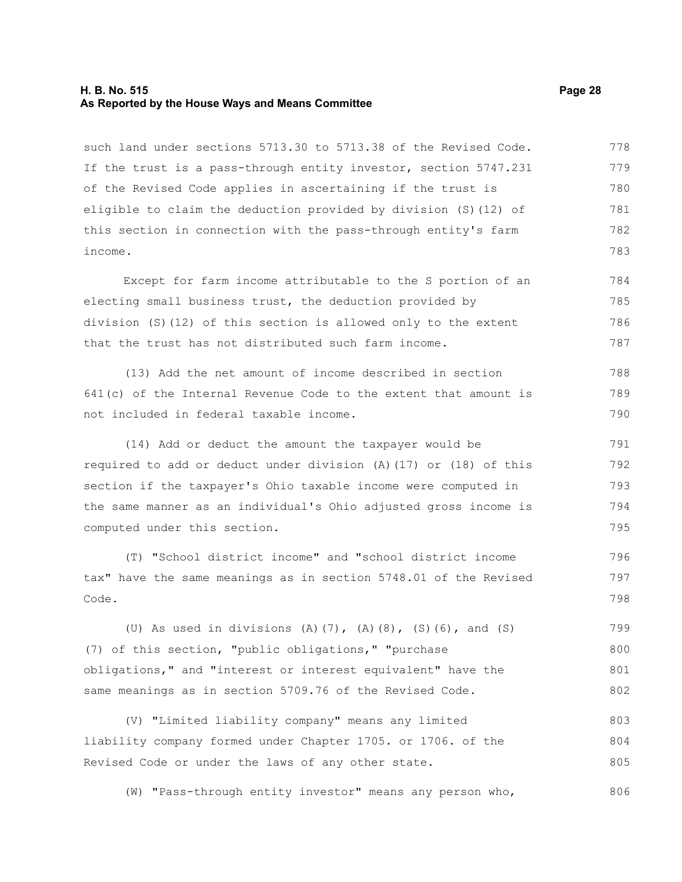#### **H. B. No. 515 Page 28 As Reported by the House Ways and Means Committee**

such land under sections 5713.30 to 5713.38 of the Revised Code. If the trust is a pass-through entity investor, section 5747.231 of the Revised Code applies in ascertaining if the trust is eligible to claim the deduction provided by division (S)(12) of this section in connection with the pass-through entity's farm income. 778 779 780 781 782 783

Except for farm income attributable to the S portion of an electing small business trust, the deduction provided by division (S)(12) of this section is allowed only to the extent that the trust has not distributed such farm income. 784 785 786 787

(13) Add the net amount of income described in section 641(c) of the Internal Revenue Code to the extent that amount is not included in federal taxable income. 788 789 790

(14) Add or deduct the amount the taxpayer would be required to add or deduct under division (A)(17) or (18) of this section if the taxpayer's Ohio taxable income were computed in the same manner as an individual's Ohio adjusted gross income is computed under this section. 791 792 793 794 795

(T) "School district income" and "school district income tax" have the same meanings as in section 5748.01 of the Revised Code.

(U) As used in divisions (A)(7), (A)(8), (S)(6), and (S) (7) of this section, "public obligations," "purchase obligations," and "interest or interest equivalent" have the same meanings as in section 5709.76 of the Revised Code. 799 800 801 802

(V) "Limited liability company" means any limited liability company formed under Chapter 1705. or 1706. of the Revised Code or under the laws of any other state. 803 804 805

(W) "Pass-through entity investor" means any person who,

806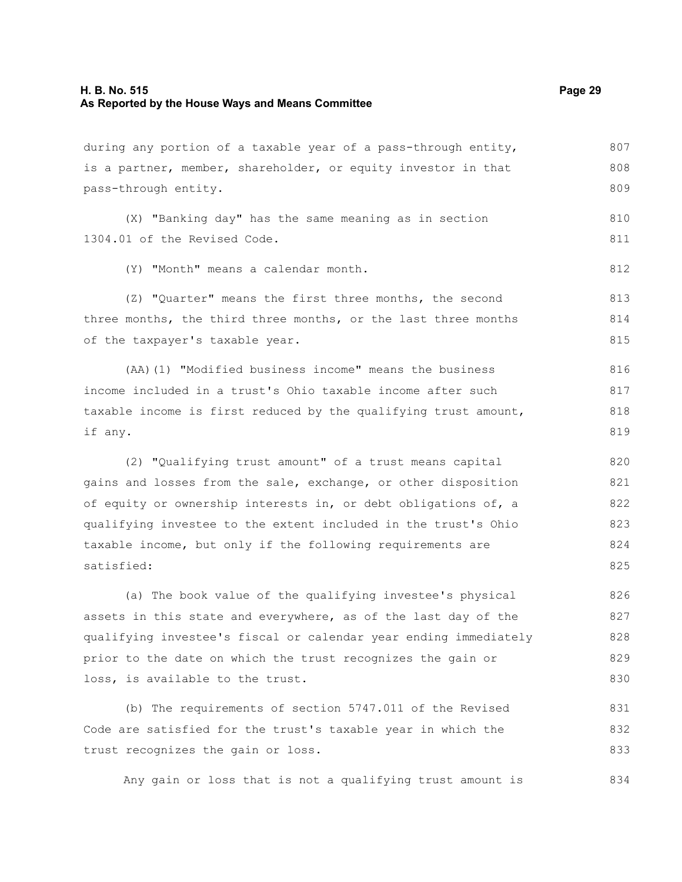#### **H. B. No. 515 Page 29 As Reported by the House Ways and Means Committee**

is a partner, member, shareholder, or equity investor in that pass-through entity. (X) "Banking day" has the same meaning as in section 1304.01 of the Revised Code. (Y) "Month" means a calendar month. (Z) "Quarter" means the first three months, the second three months, the third three months, or the last three months of the taxpayer's taxable year.

during any portion of a taxable year of a pass-through entity,

(AA)(1) "Modified business income" means the business income included in a trust's Ohio taxable income after such taxable income is first reduced by the qualifying trust amount, if any. 816 817 818 819

(2) "Qualifying trust amount" of a trust means capital gains and losses from the sale, exchange, or other disposition of equity or ownership interests in, or debt obligations of, a qualifying investee to the extent included in the trust's Ohio taxable income, but only if the following requirements are satisfied: 820 821 822 823 824 825

(a) The book value of the qualifying investee's physical assets in this state and everywhere, as of the last day of the qualifying investee's fiscal or calendar year ending immediately prior to the date on which the trust recognizes the gain or loss, is available to the trust. 826 827 828 829 830

(b) The requirements of section 5747.011 of the Revised Code are satisfied for the trust's taxable year in which the trust recognizes the gain or loss. 831 832 833

Any gain or loss that is not a qualifying trust amount is 834

807 808 809

810 811

812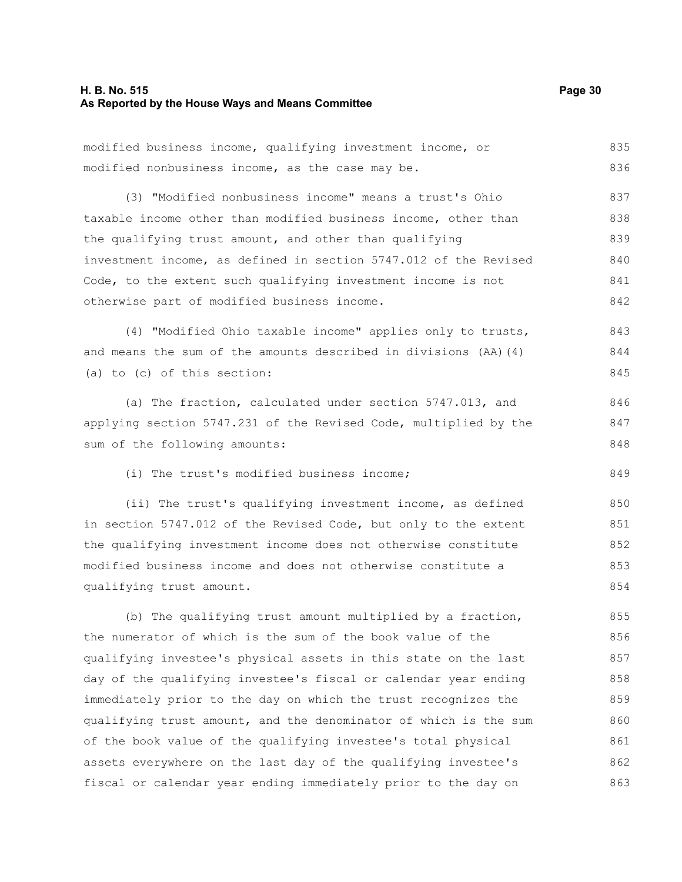#### **H. B. No. 515 Page 30 As Reported by the House Ways and Means Committee**

modified business income, qualifying investment income, or

modified nonbusiness income, as the case may be. (3) "Modified nonbusiness income" means a trust's Ohio taxable income other than modified business income, other than the qualifying trust amount, and other than qualifying investment income, as defined in section 5747.012 of the Revised Code, to the extent such qualifying investment income is not otherwise part of modified business income. (4) "Modified Ohio taxable income" applies only to trusts, and means the sum of the amounts described in divisions (AA)(4) (a) to (c) of this section: (a) The fraction, calculated under section 5747.013, and applying section 5747.231 of the Revised Code, multiplied by the sum of the following amounts: (i) The trust's modified business income; (ii) The trust's qualifying investment income, as defined in section 5747.012 of the Revised Code, but only to the extent the qualifying investment income does not otherwise constitute modified business income and does not otherwise constitute a qualifying trust amount. (b) The qualifying trust amount multiplied by a fraction, the numerator of which is the sum of the book value of the qualifying investee's physical assets in this state on the last day of the qualifying investee's fiscal or calendar year ending immediately prior to the day on which the trust recognizes the qualifying trust amount, and the denominator of which is the sum of the book value of the qualifying investee's total physical assets everywhere on the last day of the qualifying investee's fiscal or calendar year ending immediately prior to the day on 836 837 838 839 840 841 842 843 844 845 846 847 848 849 850 851 852 853 854 855 856 857 858 859 860 861 862 863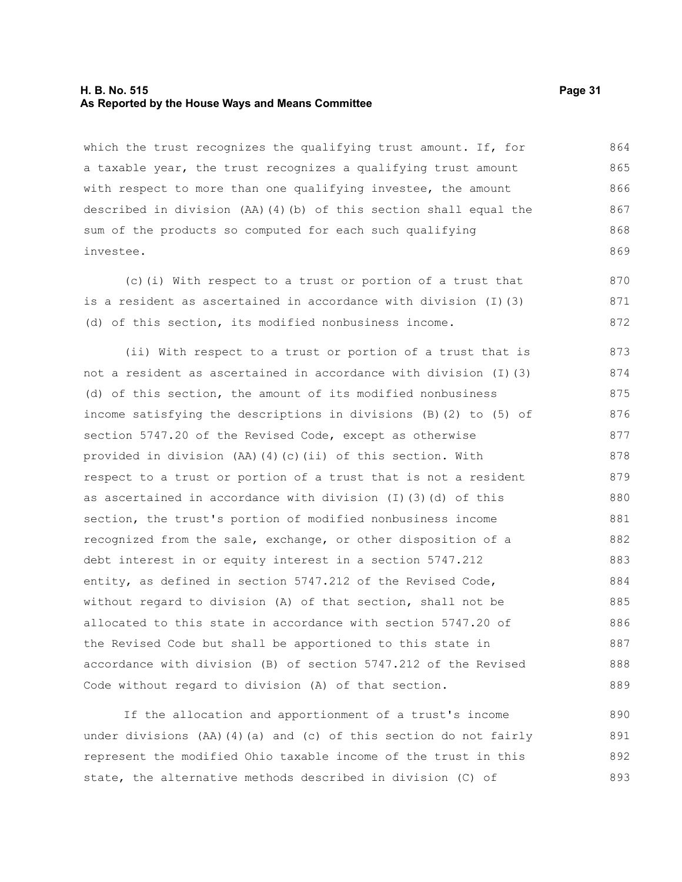#### **H. B. No. 515 Page 31 As Reported by the House Ways and Means Committee**

which the trust recognizes the qualifying trust amount. If, for a taxable year, the trust recognizes a qualifying trust amount with respect to more than one qualifying investee, the amount described in division (AA)(4)(b) of this section shall equal the sum of the products so computed for each such qualifying investee. 864 865 866 867 868 869

(c)(i) With respect to a trust or portion of a trust that is a resident as ascertained in accordance with division (I)(3) (d) of this section, its modified nonbusiness income. 870 871 872

(ii) With respect to a trust or portion of a trust that is not a resident as ascertained in accordance with division (I)(3) (d) of this section, the amount of its modified nonbusiness income satisfying the descriptions in divisions (B)(2) to (5) of section 5747.20 of the Revised Code, except as otherwise provided in division (AA)(4)(c)(ii) of this section. With respect to a trust or portion of a trust that is not a resident as ascertained in accordance with division (I)(3)(d) of this section, the trust's portion of modified nonbusiness income recognized from the sale, exchange, or other disposition of a debt interest in or equity interest in a section 5747.212 entity, as defined in section 5747.212 of the Revised Code, without regard to division (A) of that section, shall not be allocated to this state in accordance with section 5747.20 of the Revised Code but shall be apportioned to this state in accordance with division (B) of section 5747.212 of the Revised Code without regard to division (A) of that section. 873 874 875 876 877 878 879 880 881 882 883 884 885 886 887 888 889

If the allocation and apportionment of a trust's income under divisions (AA)(4)(a) and (c) of this section do not fairly represent the modified Ohio taxable income of the trust in this state, the alternative methods described in division (C) of 890 891 892 893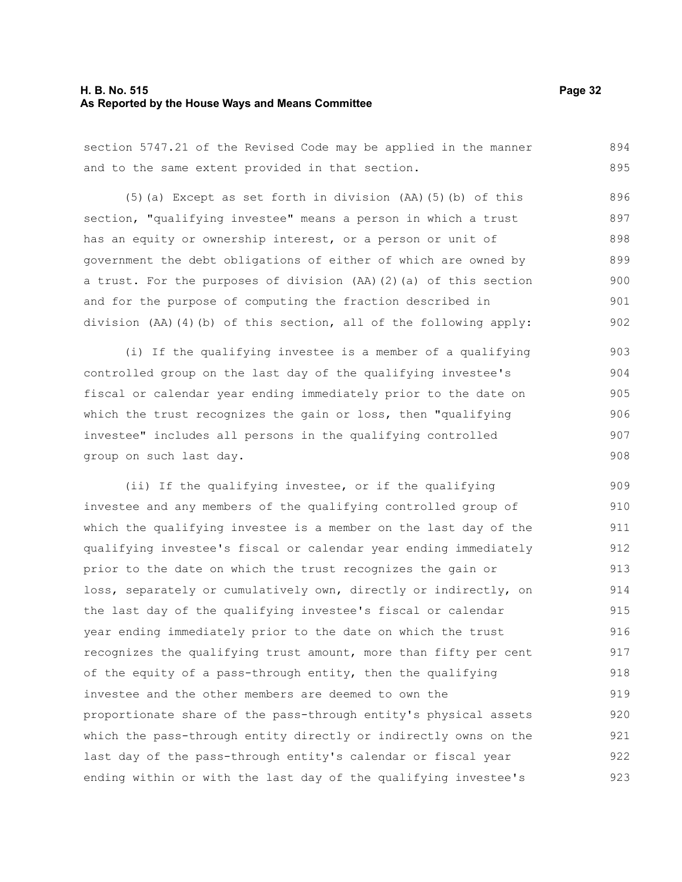#### **H. B. No. 515 Page 32 As Reported by the House Ways and Means Committee**

section 5747.21 of the Revised Code may be applied in the manner and to the same extent provided in that section. 894 895

(5)(a) Except as set forth in division (AA)(5)(b) of this section, "qualifying investee" means a person in which a trust has an equity or ownership interest, or a person or unit of government the debt obligations of either of which are owned by a trust. For the purposes of division (AA)(2)(a) of this section and for the purpose of computing the fraction described in division (AA)(4)(b) of this section, all of the following apply: 896 897 898 899 900 901 902

(i) If the qualifying investee is a member of a qualifying controlled group on the last day of the qualifying investee's fiscal or calendar year ending immediately prior to the date on which the trust recognizes the gain or loss, then "qualifying investee" includes all persons in the qualifying controlled group on such last day. 903 904 905 906 907 908

(ii) If the qualifying investee, or if the qualifying investee and any members of the qualifying controlled group of which the qualifying investee is a member on the last day of the qualifying investee's fiscal or calendar year ending immediately prior to the date on which the trust recognizes the gain or loss, separately or cumulatively own, directly or indirectly, on the last day of the qualifying investee's fiscal or calendar year ending immediately prior to the date on which the trust recognizes the qualifying trust amount, more than fifty per cent of the equity of a pass-through entity, then the qualifying investee and the other members are deemed to own the proportionate share of the pass-through entity's physical assets which the pass-through entity directly or indirectly owns on the last day of the pass-through entity's calendar or fiscal year ending within or with the last day of the qualifying investee's 909 910 911 912 913 914 915 916 917 918 919 920 921 922 923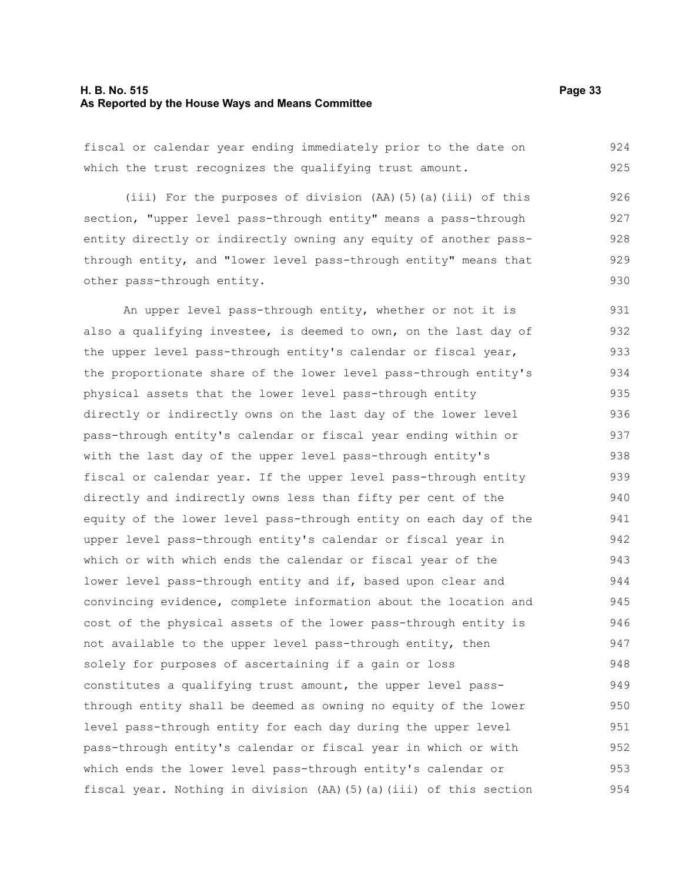#### **H. B. No. 515 Page 33 As Reported by the House Ways and Means Committee**

fiscal or calendar year ending immediately prior to the date on which the trust recognizes the qualifying trust amount. 924 925

(iii) For the purposes of division (AA)(5)(a)(iii) of this section, "upper level pass-through entity" means a pass-through entity directly or indirectly owning any equity of another passthrough entity, and "lower level pass-through entity" means that other pass-through entity. 926 927 929 930

An upper level pass-through entity, whether or not it is also a qualifying investee, is deemed to own, on the last day of the upper level pass-through entity's calendar or fiscal year, the proportionate share of the lower level pass-through entity's physical assets that the lower level pass-through entity directly or indirectly owns on the last day of the lower level pass-through entity's calendar or fiscal year ending within or with the last day of the upper level pass-through entity's fiscal or calendar year. If the upper level pass-through entity directly and indirectly owns less than fifty per cent of the equity of the lower level pass-through entity on each day of the upper level pass-through entity's calendar or fiscal year in which or with which ends the calendar or fiscal year of the lower level pass-through entity and if, based upon clear and convincing evidence, complete information about the location and cost of the physical assets of the lower pass-through entity is not available to the upper level pass-through entity, then solely for purposes of ascertaining if a gain or loss constitutes a qualifying trust amount, the upper level passthrough entity shall be deemed as owning no equity of the lower level pass-through entity for each day during the upper level pass-through entity's calendar or fiscal year in which or with which ends the lower level pass-through entity's calendar or fiscal year. Nothing in division (AA)(5)(a)(iii) of this section 931 932 933 934 935 936 937 938 939 940 941 942 943 944 945 946 947 948 949 950 951 952 953 954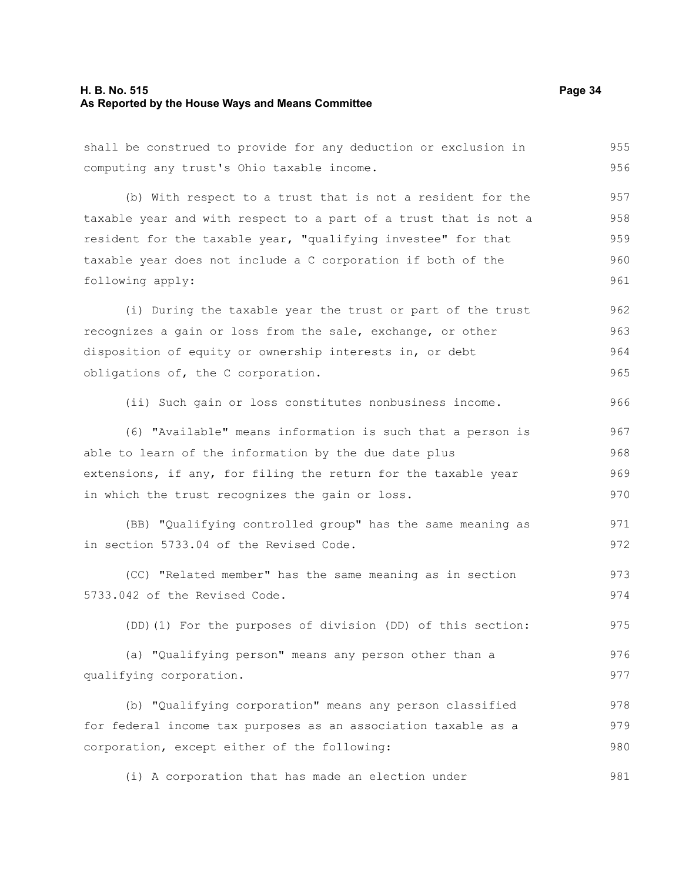#### **H. B. No. 515 Page 34 As Reported by the House Ways and Means Committee**

shall be construed to provide for any deduction or exclusion in computing any trust's Ohio taxable income. (b) With respect to a trust that is not a resident for the taxable year and with respect to a part of a trust that is not a resident for the taxable year, "qualifying investee" for that taxable year does not include a C corporation if both of the following apply: (i) During the taxable year the trust or part of the trust recognizes a gain or loss from the sale, exchange, or other disposition of equity or ownership interests in, or debt obligations of, the C corporation. (ii) Such gain or loss constitutes nonbusiness income. (6) "Available" means information is such that a person is able to learn of the information by the due date plus extensions, if any, for filing the return for the taxable year in which the trust recognizes the gain or loss. (BB) "Qualifying controlled group" has the same meaning as in section 5733.04 of the Revised Code. (CC) "Related member" has the same meaning as in section 5733.042 of the Revised Code. (DD)(1) For the purposes of division (DD) of this section: (a) "Qualifying person" means any person other than a qualifying corporation. (b) "Qualifying corporation" means any person classified for federal income tax purposes as an association taxable as a corporation, except either of the following: 955 956 957 958 959 960 961 962 963 964 965 966 967 968 969 970 971 972 973 974 975 976 977 978 979 980

(i) A corporation that has made an election under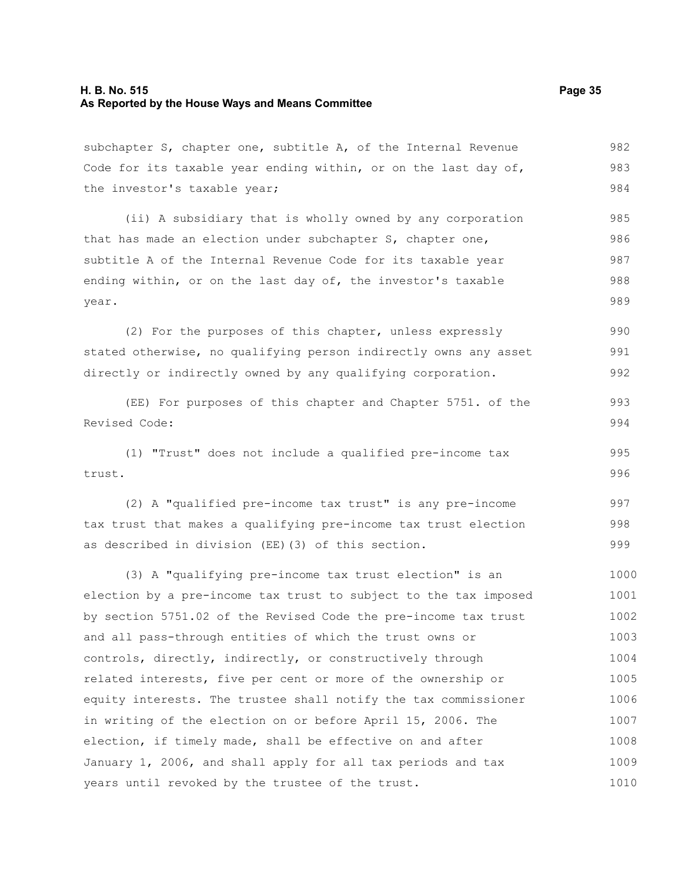#### **H. B. No. 515 Page 35 As Reported by the House Ways and Means Committee**

subchapter S, chapter one, subtitle A, of the Internal Revenue Code for its taxable year ending within, or on the last day of, the investor's taxable year; 982 983 984

(ii) A subsidiary that is wholly owned by any corporation that has made an election under subchapter S, chapter one, subtitle A of the Internal Revenue Code for its taxable year ending within, or on the last day of, the investor's taxable year. 985 986 987 988 989

(2) For the purposes of this chapter, unless expressly stated otherwise, no qualifying person indirectly owns any asset directly or indirectly owned by any qualifying corporation. 990 991 992

(EE) For purposes of this chapter and Chapter 5751. of the Revised Code: 993 994

(1) "Trust" does not include a qualified pre-income tax trust. 995 996

(2) A "qualified pre-income tax trust" is any pre-income tax trust that makes a qualifying pre-income tax trust election as described in division (EE)(3) of this section. 997 998 999

(3) A "qualifying pre-income tax trust election" is an election by a pre-income tax trust to subject to the tax imposed by section 5751.02 of the Revised Code the pre-income tax trust and all pass-through entities of which the trust owns or controls, directly, indirectly, or constructively through related interests, five per cent or more of the ownership or equity interests. The trustee shall notify the tax commissioner in writing of the election on or before April 15, 2006. The election, if timely made, shall be effective on and after January 1, 2006, and shall apply for all tax periods and tax years until revoked by the trustee of the trust. 1000 1001 1002 1003 1004 1005 1006 1007 1008 1009 1010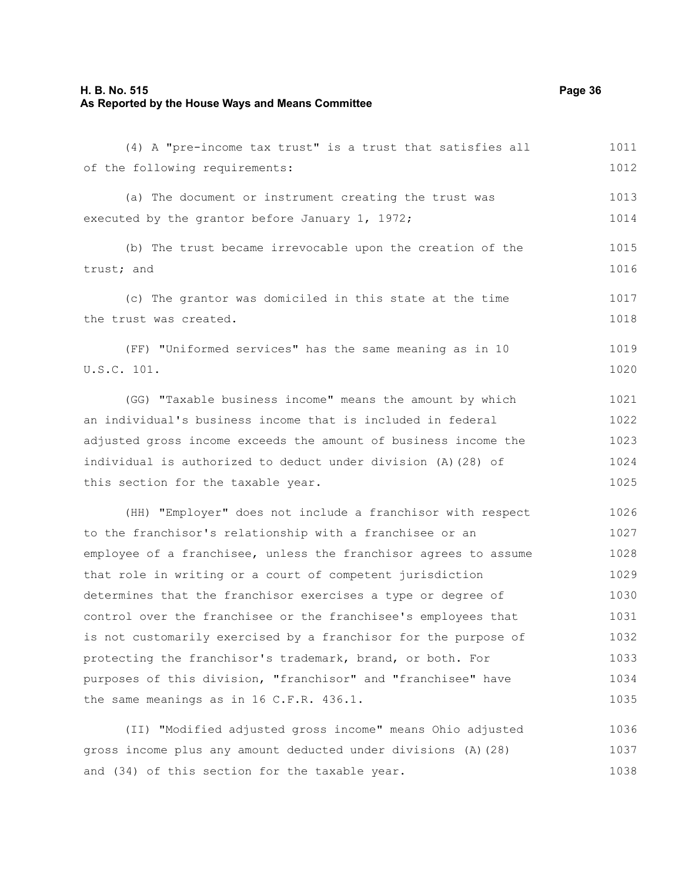### **H. B. No. 515 Page 36 As Reported by the House Ways and Means Committee**

| (4) A "pre-income tax trust" is a trust that satisfies all       | 1011 |
|------------------------------------------------------------------|------|
| of the following requirements:                                   | 1012 |
| (a) The document or instrument creating the trust was            | 1013 |
| executed by the grantor before January 1, 1972;                  | 1014 |
| (b) The trust became irrevocable upon the creation of the        | 1015 |
| trust; and                                                       | 1016 |
| (c) The grantor was domiciled in this state at the time          | 1017 |
| the trust was created.                                           | 1018 |
| (FF) "Uniformed services" has the same meaning as in 10          | 1019 |
| U.S.C. 101.                                                      |      |
| (GG) "Taxable business income" means the amount by which         | 1021 |
| an individual's business income that is included in federal      | 1022 |
| adjusted gross income exceeds the amount of business income the  | 1023 |
| individual is authorized to deduct under division (A) (28) of    | 1024 |
| this section for the taxable year.                               | 1025 |
| (HH) "Employer" does not include a franchisor with respect       | 1026 |
| to the franchisor's relationship with a franchisee or an         | 1027 |
| employee of a franchisee, unless the franchisor agrees to assume | 1028 |
| that role in writing or a court of competent jurisdiction        | 1029 |
| determines that the franchisor exercises a type or degree of     | 1030 |
| control over the franchisee or the franchisee's employees that   | 1031 |
| is not customarily exercised by a franchisor for the purpose of  | 1032 |
| protecting the franchisor's trademark, brand, or both. For       | 1033 |
| purposes of this division, "franchisor" and "franchisee" have    | 1034 |
| the same meanings as in 16 C.F.R. 436.1.                         | 1035 |
| (II) "Modified adjusted gross income" means Ohio adjusted        | 1036 |
| gross income plus any amount deducted under divisions (A) (28)   | 1037 |
| and (34) of this section for the taxable year.                   | 1038 |